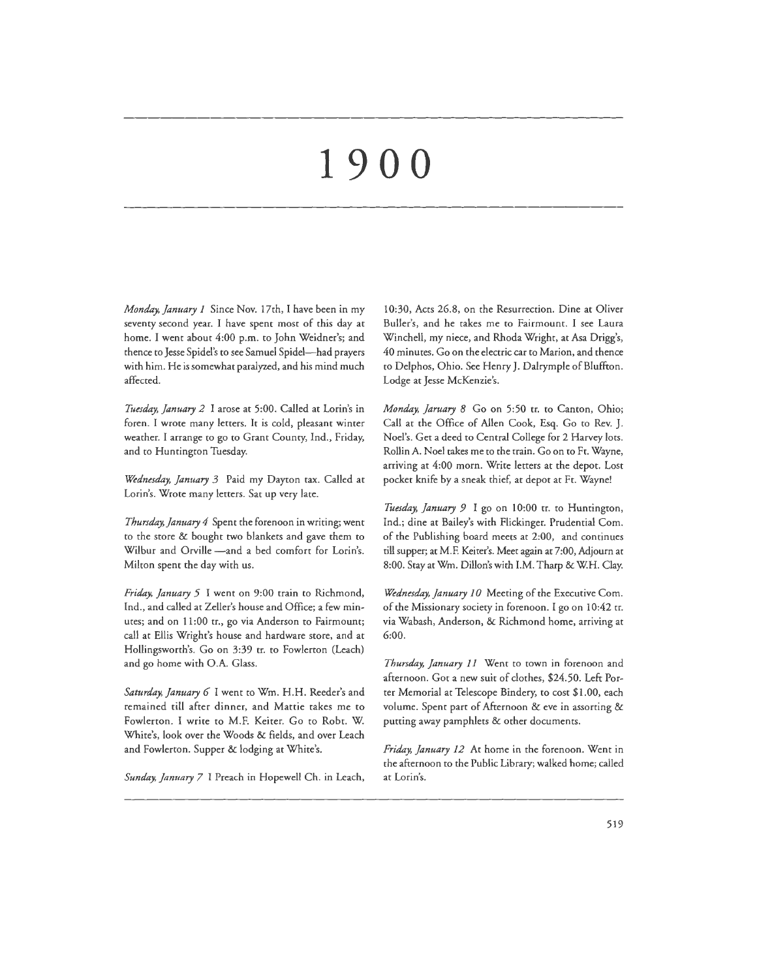# **1900**

*Monday, January I* Since Nov. 17th, I have been in my seventy second year. I have spent most of this day at home. I went about 4:00 p.m. to John Weidner's; and thence to Jesse Spidel's to see Samuel Spidel-had prayers with him. He is somewhat paralyzed, and his mind much affected.

*Tuesday, January 2* I arose at 5:00. Called at Lorin's in foren. I wrote many letters. It is cold, pleasant winter weather. I arrange to go to Grant County, Ind., Friday, and to Huntington Tuesday.

*Wednesday, January 3* Paid my Dayton tax. Called at Lorin's. Wrote many letters. Sat up very late.

*Thursday, January 4* Spent the forenoon in writing; went to the store & bought two blankets and gave them to Wilbur and Orville -and a bed comfort for Lorin's. Milton spent the day with us.

*Friday, January 5* I went on 9:00 train to Richmond, Ind., and called at Zeller's house and Office; a few minutes; and on 11:00 tr., go via Anderson to Fairmount; call at Ellis Wright's house and hardware store, and at Hollingsworth's. Go on 3:39 tr. to Fowlerton (Leach) and go home with 0.A. Glass.

*Saturday, January 6* I went to Wm. H.H. Reeder's and remained rill after dinner, and Mattie takes me to Fowlerton. I write to M.F. Keiter. Go to Robt. W. White's, look over the Woods & fields, and over Leach and Fowlerton. Supper & lodging at White's.

*Sunday, January 7* I Preach in Hopewell Ch. in Leach,

10:30, Acts 26.8, on the Resurrection. Dine at Oliver Buller's, and he takes me to Fairmount. I see Laura Winchell, my niece, and Rhoda Wright, at Asa Drigg's, 40 minutes. Go on the electric car to Marion, and thence to Delphos, Ohio. See Henry J. Dalrymple of Bluffton. Lodge at Jesse McKenzie's.

*Monday, Jaruary 8* Go on 5:50 tr. to Canton, Ohio; Call at the Office of Allen Cook, Esq. Go to Rev. J. Noel's. Ger a deed to Central College for 2 Harvey lots. Rollin A. Noel takes me to the train. Go on to Ft. Wayne, arriving at 4:00 morn. Write letters at the depot. Lost pocket knife by a sneak thief, at depot at Fr. Wayne!

*Tuesday, January 9* I go on 10:00 tr. to Huntington, Ind.; dine at Bailey's with Flickinger. Prudential Com. of the Publishing board meets at 2:00, and continues till supper; at M.F. Keirer's. Meet again at 7:00, Adjourn at 8:00. Stay at Wm. Dillon's with I.M. Tharp & W:H. Clay.

*Wednesday, January I 0* Meeting of the Executive Com. of the Missionary society in forenoon. I go on I 0:42 tr. via Wabash, Anderson, & Richmond home, arriving at 6:00.

*Thursday, January 11* Went to town in forenoon and afternoon. Got a new suit of cloches, \$24.50. Left Porter Memorial at Telescope Bindery, co cost \$1.00, each volume. Spent part of Afternoon & eve in assorting & putting away pamphlets & other documents.

*Friday, January 12* At home in the forenoon. Went in the afternoon to the Public Library; walked home; called at Lorin's.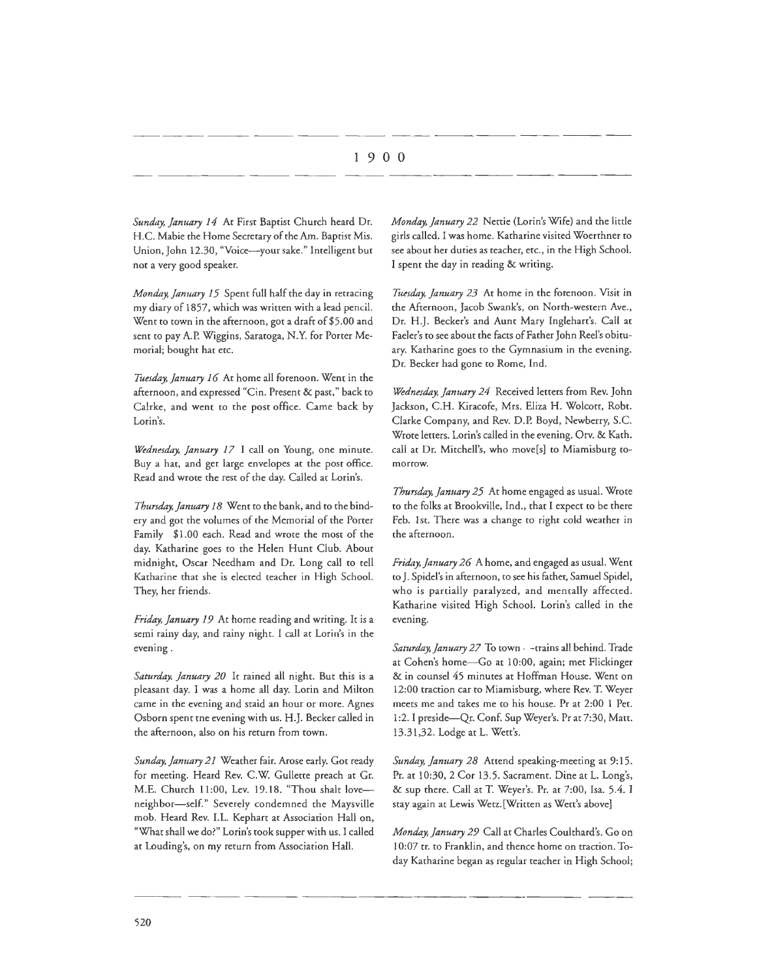*Sunday, January 14* At First Baptist Church heard Dr. H.C. Mabie the Home Secretary of the Am. Baptist Mis. Union, John 12.30, "Voice-your sake." Intelligent but not a very good speaker.

*Monday, January 15* Spent full half the day in retracing my diary of 1857, which was written with a lead pencil. Went to town in the afternoon, got a draft of \$5.00 and sent to pay A.P. Wiggins, Saratoga, N.Y. for Porter Memorial; bought hat etc.

*Tuesday, January 16* At home all forenoon. Went in the afternoon, and expressed "Cin. Present & past," back to Calrke, and went to the post office. Came back by Lorin's.

*Wednesday, January 17* I call on Young, one minute. Buy a hat, and get large envelopes at the post office. Read and wrote the rest of the day. Called at Lorin's.

*Thursday, January 18* Went to the bank, and to the bindery and got the volumes of the Memorial of the Porter Family \$1.00 each. Read and wrote the most of the day. Katharine goes to the Helen Hunt Club. About midnight, Oscar Needham and Dr. Long call to tell Katharine that she is elected teacher in High School. They, her friends.

*Friday, January 19* At home reading and writing. It is a semi rainy day, and rainy night. I call at Lorin's in the evening.

*Saturday, January 20* It rained all night. Bur this is a pleasant day. I was a home all day. Lorin and Milton came in the evening and staid an hour or more. Agnes Osborn spent tne evening with us. H.J. Becker called in the afternoon, also on his return from town.

*Sunday, January 21* Weather fair. Arose early. Got ready for meeting. Heard Rev. C.W. Gullette preach at Gr. M.E. Church 11:00, Lev. 19.18. "Thou shalt loveneighbor-self." Severely condemned the Maysville mob. Heard Rev. I.L. Kephart at Association Hall on, "What shall we do?" Lorin's took supper with us. I called at Louding's, on my return from Association Hall.

*Monday, January 22* Nettie (Lorin's Wife) and the little girls called. I was home. Katharine visited Woerthner to see about her duties as teacher, etc., in the High School. I spent the day in reading & writing.

*Tttesday, January 23* At home in the forenoon. Visit in the Afternoon, Jacob Swank's, on North-western Ave., Dr. H.J. Becker's and Aunt Mary Inglehart's. Call at Fader's to see about the facts of Father John Reel's obituary. Katharine goes to the Gymnasium in the evening. Dr. Becker had gone to Rome, Ind.

*Wednesday, January 24* Received letters from Rev. John Jackson, C.H. Kiracofe, Mrs. Eliza H. Wolcott, Robt. Clarke Company, and Rev. D.P. Boyd, Newberry, S.C. Wrote letters. Lorin's called in the evening. Orv. & Kath. call at Dr. Mitchell's, who move[s] to Miamisburg tomorrow.

*Thursday, January 25* At home engaged as usual. Wrote to the folks at Brookville, Ind., that I expect to be there Feb. 1st. There was a change to right cold weather in the afternoon.

*Friday, January 26* A home, and engaged as usual. Went to J. Spidel's in afternoon, to see his father, Samuel Spidel, who is partially paralyzed, and mentally affected. Katharine visited High School. Lorin's called in the evening.

Saturday, January 27 To town - -trains all behind. Trade at Cohen's home-Go at 10:00, again; met Flickinger & in counsel 45 minutes at Hoffman House. Went on 12:00 traction car to Miamisburg, where Rev. T. Weyer meets me and takes me to his house. Pr at 2:00 I Pet. 1:2. I preside-Qr. Conf. Sup Weyer's. Pr at 7:30, Matt. 13.31,32. Lodge at L. Wett's.

*Sunday, January 28* Attend speaking-meeting at 9:15. Pr. at 10:30, 2 Cor 13.5. Sacrament. Dine at L. Long's, & sup there. Call at T. Weyer's. Pr. at 7:00, Isa. 5.4. I stay again at Lewis Wetz.[Written as Wett's above]

*Monday, January 29* Call at Charles Coulthard's. Go on I 0:07 tr. to Franklin, and thence home on traction. Today Katharine began as regular teacher in High School;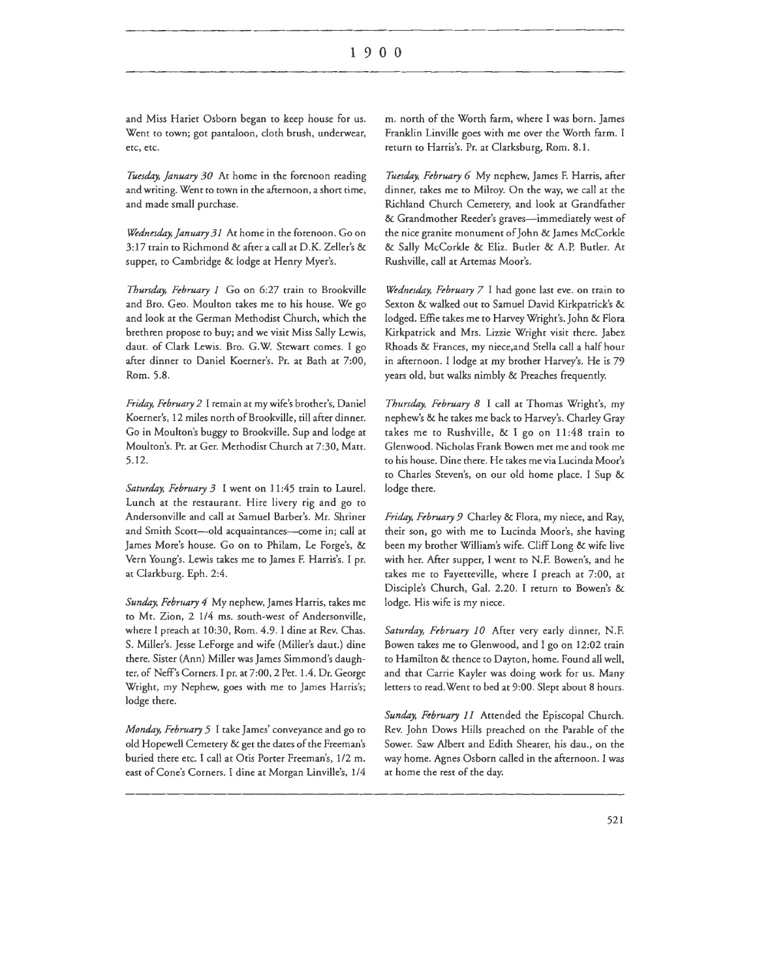and Miss Hariet Osborn began to keep house for us. Went to town; got pantaloon, cloth brush, underwear, etc, etc.

*Tuesday, January 30* At home in the forenoon reading and writing. Went to town in the afternoon, a short time, and made small purchase.

*Wednesday, January 31* At home in the forenoon. Go on 3: 17 train to Richmond & after a call at D.K. Zeller's & supper, to Cambridge & lodge at Henry Myer's.

*Thursday, February 1* Go on 6:27 train to Brookville and Bro. Geo. Moulton takes me to his house. We go and look at the German Methodist Church, which the brethren propose to buy; and we visit Miss Sally Lewis, daut. of Clark Lewis. Bro. G.W. Stewart comes. I go after dinner to Daniel Koerner's. Pr. at Bath at 7:00, Rom. 5.8.

*Friday, February 2* I remain at my wife's brother's, Daniel Koerner's, 12 miles north of Brookville, till after dinner. Go in Moulton's buggy to Brookville. Sup and lodge at Moulton's. Pr. at Ger. Methodist Church at 7:30, Matt. 5.12.

Saturday, February 3 I went on 11:45 train to Laurel. Lunch at the restaurant. Hire livery rig and go to Andersonville and call at Samuel Barber's. Mr. Shriner and Smith Scott-old acquaintances-come in; call at James More's house. Go on to Philam, Le Forge's, & Vern Young's. Lewis takes me to James F. Harris's. I pr. at Clarkburg. Eph. 2:4.

*Sunday, February 4* My nephew, James Harris, takes me to Mt. Zion, 2 1/4 ms. south-west of Andersonville, where I preach at 10:30, Rom. 4.9. I dine at Rev. Chas. S. Miller's. Jesse LeForge and wife (Miller's daut.) dine there. Sister (Ann) Miller was James Simmond's daughter, of Neff's Corners. I pr. at 7:00, 2 Pet. 1.4. Dr. George Wright, my Nephew, goes with me to James Harris's; lodge there.

*Monday, February 5* I take James' conveyance and go to old Hopewell Cemetery & get the dates of the Freeman's buried there etc. I call at Otis Porter Freeman's, 1/2 m. east of Cone's Corners. I dine at Morgan Linville's, 1/4

m. north of the Worth farm, where I was born. James Franklin Linville goes with me over the Worth farm. I return to Harris's. Pr. at Clarksburg, Rom. 8.1.

*Tuesday, February 6* My nephew, James F. Harris, after dinner, takes me to Milroy. On the way, we call at the Richland Church Cemetery, and look at Grandfather & Grandmother Reeder's graves-immediately west of the nice granite monument of John & James McCorkle & Sally McCorkle & Eliz. Buder & A.P. Buder. At Rushville, call at Artemas Moor's.

*Wednesday, February 7* I had gone last eve. on train to Sexton & walked out to Samuel David Kirkpatrick's & lodged. Effie takes me to Harvey Wright's. John & Flora Kirkpatrick and Mrs. Lizzie Wright visit there. Jabez Rhoads & Frances, my niece,and Stella call a half hour in afternoon. I lodge at my brother Harvey's. He is 79 years old, but walks nimbly & Preaches frequently.

*Thursday, February 8* I call at Thomas Wright's, my nephew's & he takes me back to Harvey's. Charley Gray takes me to Rushville, & I go on 11 :48 train to Glenwood. Nicholas Frank Bowen mer me and cook me to his house. Dine there. He takes me via Lucinda Moor's to Charles Steven's, on our old home place. I Sup & lodge there.

*Friday, February 9* Charley & Flora, my niece, and Ray, their son, go with me to Lucinda Moor's, she having been my brother William's wife. Cliff Long & wife live with her. After supper, I went to N.F. Bowen's, and he takes me to Fayetteville, where I preach at 7:00, at Disciple's Church, Gal. 2.20. I return to Bowen's & lodge. His wife is my niece.

*Saturday, February 10* After very early dinner, N.F. Bowen takes me to Glenwood, and I go on 12:02 train to Hamilton & thence to Dayton, home. Found all well, and that Carrie Kayler was doing work for us. Many letters to read.Went to bed at 9:00. Slept about 8 hours.

*Sunday, February 11* Attended the Episcopal Church. Rev. John Dows Hills preached on the Parable of the Sower. Saw Albert and Edith Shearer, his dau., on the way home. Agnes Osborn called in the afternoon. I was at home the rest of the day.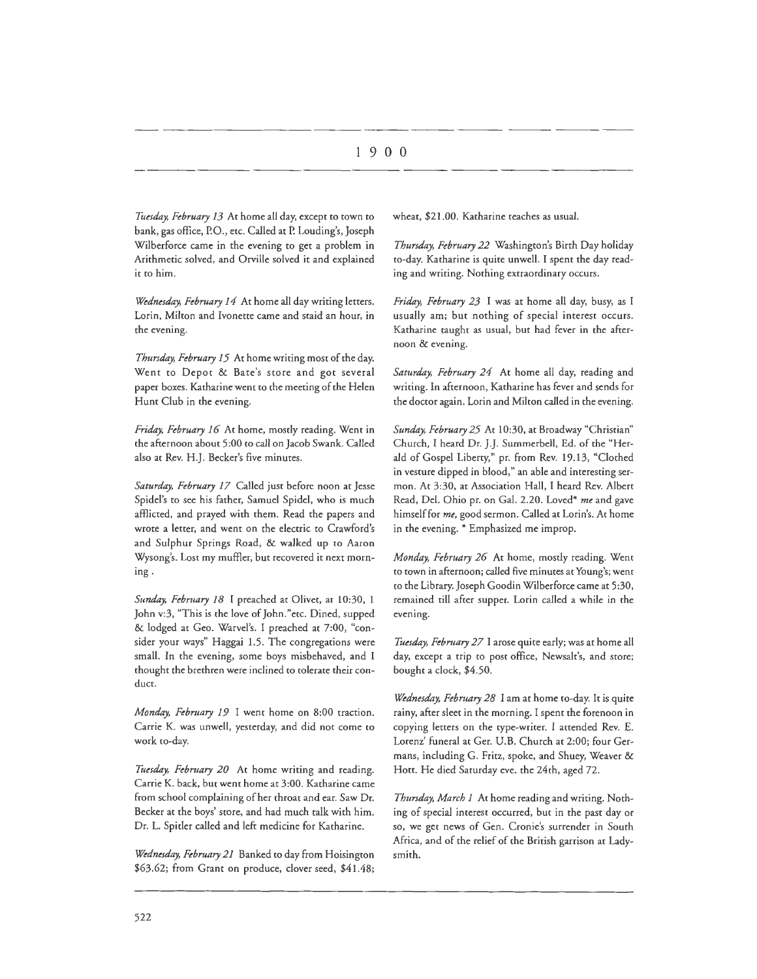*Tuesday, February 13* At home all day, except to town to bank, gas office, P.O., etc. Called at P. Louding's, Joseph Wilberforce came in the evening to get a problem in Arithmetic solved, and Orville solved it and explained it to him.

*Wednesday, February 14* At home all day writing letters. Lorin, Milton and Ivonette came and staid an hour, in the evening.

*Thursday, February 15* At home writing most of the day. Went to Depot & Bate's store and got several paper boxes. Katharine went to the meeting of the Helen Hunt Club in the evening.

*Friday, February 16* At home, mostly reading. Went in the afternoon about 5:00 to call on Jacob Swank. Called also at Rev. H.J. Becker's five minutes.

*Saturday, February 17* Called just before noon at Jesse Spidel's to see his father, Samuel Spidel, who is much afflicted, and prayed with them. Read the papers and wrote a letter, and went on the electric to Crawford's and Sulphur Springs Road, & walked up ro Aaron Wysong's. Lost my muffler, but recovered it next morning.

Sunday, February 18 I preached at Olivet, at 10:30, 1 John v:3, "This is the love of John." etc. Dined, supped & lodged ac Geo. Warvel's. I preached at 7:00, "consider your ways" Haggai 1.5. The congregations were small. In the evening, some boys misbehaved, and I thought the brethren were inclined to tolerate their conduct.

*Monday, February 19* I went home on 8:00 traction. Carrie K. was unwell, yesterday, and did not come to work co-day.

Tuesday, February 20 At home writing and reading. Carrie K. back, but went home at 3:00. Katharine came from school complaining of her throat and ear. Saw Dr. Becker at the boys' score, and had much talk with him. Dr. L. Spitler called and left medicine for Katharine.

*Wednesday, February 21* Banked to day from Hoisington \$63.62; from Grant on produce, dover seed, \$41.48; wheat, \$21.00. Katharine teaches as usual.

*Thursday, February 22* Washington's Birth Day holiday co-day. Katharine is quire unwell. I spent the day reading and writing. Nothing extraordinary occurs.

*Friday, February 23* I was at home all day, busy, as I usually am; but nothing of special interest occurs. Katharine taught as usual, but had fever in the afternoon & evening.

*Saturday, February 24* Ac home all day, reading and writing. In afternoon, Katharine has fever and sends for the doctor again. Lorin and Milton called in the evening.

*Sunday, February 25* At l 0:30, at Broadway "Christian" Church, I heard Dr. J.J. Summerbell, Ed. of the "Herald of Gospel Liberty," pr. from Rev. 19.13, "Clothed in vesture dipped in blood," an able and interesting sermon. At 3:30, at Association Hall, I heard Rev. Albert Read, Del. Ohio pr. on Gal. 2.20. Loved\* *me* and gave himself for *me,* good sermon. Called at Lorin's. At home in the evening. \* Emphasized me improp.

*Monday, February 26* At home, mosdy reading. Went to town in afternoon; called five minutes at Young's; went to the Library. Joseph Goodin Wilberforce came at 5:30, remained till after supper. Lorin called a while in the evening.

*Tuesday, Febmary 27* I arose quite early; was at home all day, except a trip to post office, Newsalt's, and store; bought a dock, \$4.50.

*Wednesday, Febmary 28* I am at home co-day. It is quite rainy, after sleet in the morning. I spent the forenoon in copying letters on the type-writer. I attended Rev. E. Lorenz' funeral at Ger. U.B. Church at 2:00; four Germans, including G. Fritz, spoke, and Shuey, Weaver & Hott. He died Saturday eve. the 24th, aged 72.

*Thursday, March I* At home reading and writing. Nothing of special interest occurred, but in the past day or so, we get news of Gen. Cronie's surrender in South Africa, and of the relief of the British garrison at Ladysmith.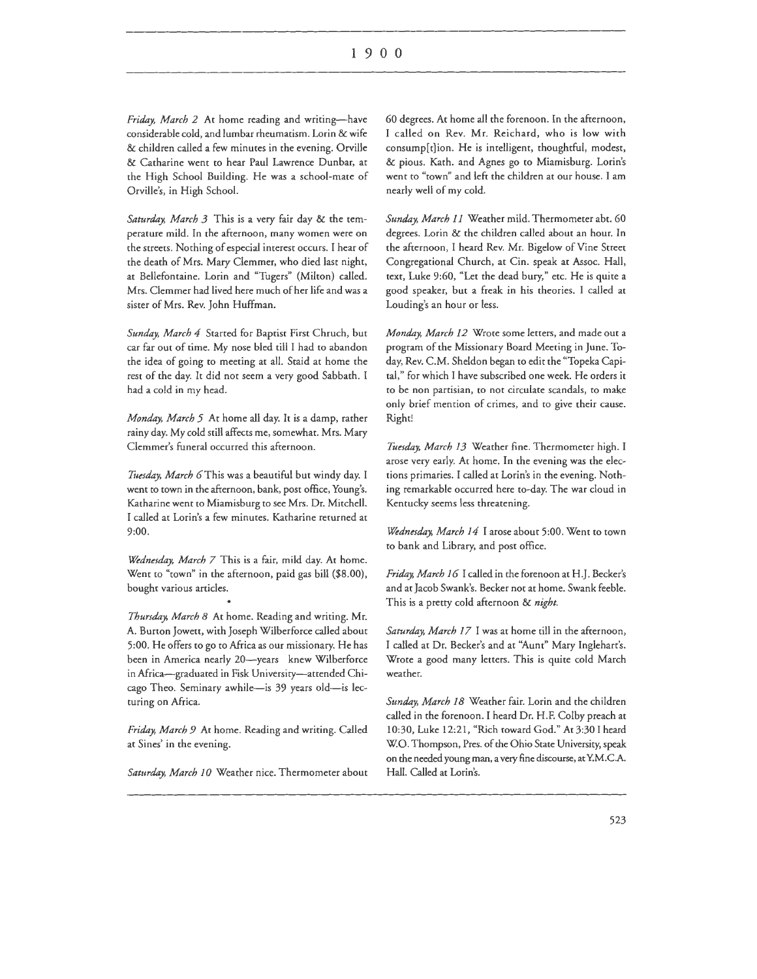Friday, March 2 At home reading and writing-have considerable cold, and lumbar rheumatism. Lorin & wife & children called a few minutes in the evening. Orville & Catharine went to hear Paul Lawrence Dunbar, at the High School Building. He was a school-mate of Orville's, in High School.

*Saturday. March 3* This is a very fair day & the temperature mild. In the afternoon, many women were on the streets. Nothing of especial interest occurs. I hear of the death of Mrs. Mary Clemmer, who died last night, at Bellefontaine. Lorin and ''Tugers" (Milton) called. Mrs. Clemmer had lived here much of her life and was a sister of Mrs. Rev. John Huffman.

*Sunday, March 4* Started for Baptist First Chruch, but car far out of time. My nose bled till I had to abandon the idea of going to meeting at all. Staid at home the rest of the day. It did not seem a very good Sabbath. I had a cold in my head.

*Monday. March 5* At home all day. It is a damp, rather rainy day. My cold still affects me, somewhat. Mrs. Mary Clemmer's funeral occurred this afternoon.

*Tuesday, March 6This* was a beautiful but windy day. I went to town in the afternoon, bank, post office, Young's. Katharine went to Miamisburg to see Mrs. Dr. Mitchell. I called at Lorin's a few minutes. Katharine returned at 9:00.

*Wednesday. March 7* This is a fair, mild day. At home. Went to "town" in the afternoon, paid gas bill (\$8.00), bought various articles.

Thursday, March 8 At home. Reading and writing. Mr. A. Burton Jowett, with Joseph Wilberforce called about 5:00. He offers to go to Africa as our missionary. He has been in America nearly 20-years knew Wilberforce in Africa-graduated in Fisk University-attended Chicago Theo. Seminary awhile-is 39 years old-is lecturing on Africa.

*Friday, March 9* At home. Reading and writing. Called at Sines' in the evening.

Saturday, March 10 Weather nice. Thermometer about

60 degrees. At home all the forenoon. In the afternoon, I called on Rev. Mr. Reichard, who is low with consump[t]ion. He is intelligent, thoughtful, modest, & pious. Kath. and Agnes go to Miamisburg. Lorin's went to "town" and left the children at our house. I am nearly well of my cold.

*Sunday, March 11* Weather mild. Thermometer abt. 60 degrees. Lorin & the children called about an hour. In the afternoon, I heard Rev. Mr. Bigelow of Vine Street Congregational Church, at Cin. speak at Assoc. Hall, text, Luke 9:60, "Let the dead bury," etc. He is quite a good speaker, but a freak in his theories. I called at Louding's an hour or less.

*Monday. March 12* Wrote some letters, and made out a program of the Missionary Board Meeting in June. Today, Rev. C.M. Sheldon began to edit the "Topeka Capital," for which I have subscribed one week. He orders it to be non partisian, to not circulate scandals, to make only brief mention of crimes, and to give their cause. Right!

*Ttusday. March 13* Weather fine. Thermometer high. I arose very early. At home. In the evening was the elections primaries. I called at Lorin's in the evening. Nothing remarkable occurred here to-day. The war cloud in Kentucky seems less threatening.

*Wednesday. March 14* I arose about 5:00. Went to town to bank and Library, and post office.

*Friday, March I 6* I called in the forenoon at H .J. Becker's and at Jacob Swank's. Becker not at home. Swank feeble. This is a pretty cold afternoon & *night.* 

*Saturday, March 17* I was at home till in the afternoon, I called at Dr. Becker's and at "Aunt" Mary lnglehart's. Wrote a good many letters. This is quite cold March weather.

Sunday, March 18 Weather fair. Lorin and the children called in the forenoon. I heard Dr. H .F. Colby preach at 10:30, Luke 12:21, "Rich toward God." At 3:30 I heard WO. Thompson, Pres. of the Ohio State University, speak on the needed young man, a very fine discourse, at Y.M.CA. Hall. Called at Lorin's.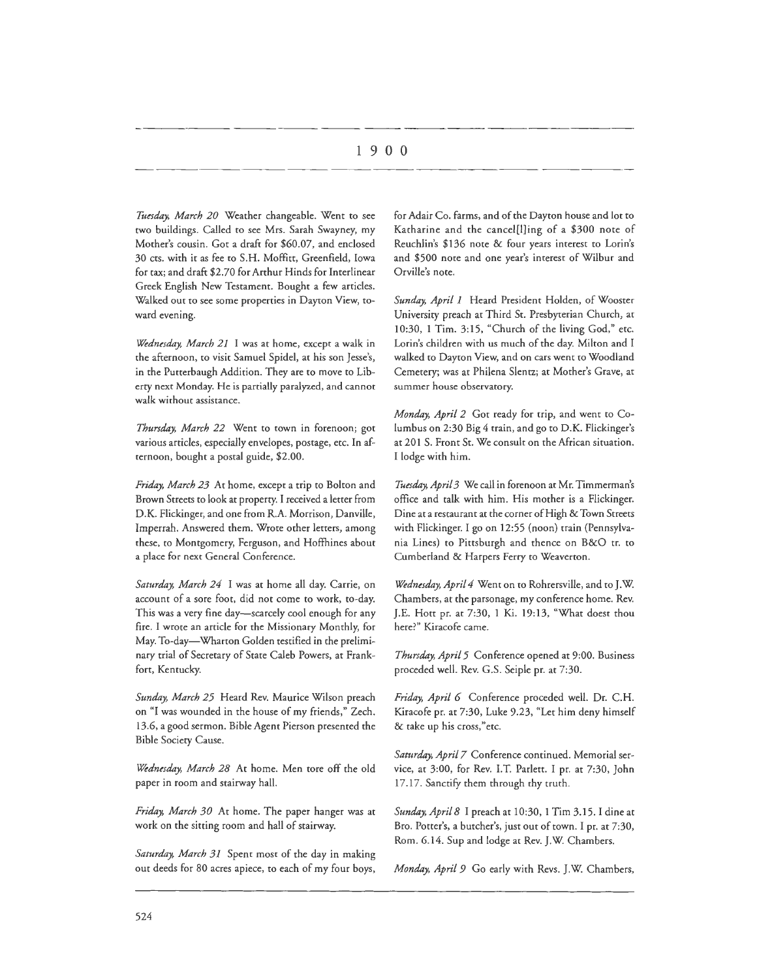*Ttusday, March 20* Weather changeable. Went to see two buildings. Called to see Mrs. Sarah Swayney, my Mother's cousin. Got a draft for \$60.07, and enclosed 30 cts. with it as fee to S.H. Moffitt, Greenfield, Iowa for tax; and draft \$2.70 for Arthur Hinds for Interlinear Greek English New Testament. Bought a few articles. Walked out to see some properties in Dayton View, toward evening.

*Wednesday, March 21* I was at home, except a walk in the afternoon, to visit Samuel Spidel, at his son Jesse's, in the Putterbaugh Addition. They are to move to Liberty next Monday. He is partially paralyzed, and cannot walk without assistance.

*Thursday, March 22* Went to town in forenoon; got various articles, especially envelopes, postage, etc. In afternoon, bought a postal guide, \$2.00.

*Friday, March 23* At home, except a trip to Bolton and Brown Streets to look at property. I received a letter from D.K. Flickinger, and one from R.A. Morrison, Danville, Imperrah. Answered them. Wrote other letters, among these, to Montgomery, Ferguson, and Hoffhines about a place for next General Conference.

*Saturday, March 24* I was at home all day. Carrie, on account of a sore foot, did not come to work, to-day. This was a very fine day-scarcely cool enough for any fire. I wrote an article for the Missionary Monthly, for May. To-day-Wharton Golden testified in the preliminary trial of Secretary of State Caleb Powers, at Frankfort, Kentucky.

*Sunday, March 25* Heard Rev. Maurice Wilson preach on "I was wounded in the house of my friends," Zech. 13.6, a good sermon. Bible Agent Pierson presented the Bible Society Cause.

*Wednesday, March 28* At home. Men tore off the old paper in room and stairway hall.

*Friday, March 30* At home. The paper hanger was at work on the sitting room and hall of stairway.

Saturday, March 31 Spent most of the day in making our deeds for 80 acres apiece, to each of my four boys,

for Adair Co. farms, and of the Dayton house and lot to Katharine and the cancel[l]ing of a \$300 note of Reuchlin's \$136 note & four years interest to Lorin's and \$500 note and one year's interest of Wilbur and Orville's note.

*Sunday, April 1* Heard President Holden, of Wooster University preach at Third St. Presbyterian Church, at 10:30, 1 Tim. 3:15, "Church of the living God," etc. Lorin's children with us much of the day. Milton and I walked to Dayton View, and on cars went to Woodland Cemetery; was at Philena Slentz; at Mother's Grave, at summer house observatory.

*Monday, April 2* Got ready for trip, and went to Columbus on 2:30 Big 4 train, and go to D.K. Flickinger's at 201 S. Front St. We consult on the African situation. I lodge with him.

*Tuesday, April 3* We call in forenoon at Mr. Timmerman's office and talk with him. His mother is a Flickinger. Dine at a restaurant at the corner of High & Town Streets with Flickinger. I go on 12:55 (noon) train (Pennsylvania Lines) to Pittsburgh and thence on B&O tr. to Cumberland & Harpers Ferry to Weaverton.

*Wednesday, April 4* Went on to Rohrersville, and to J.W. Chambers, at the parsonage, my conference home. Rev. J.E. Hott pr. at 7:30, 1 Ki. 19:13, "What doest thou here?" Kiracofe came.

*Thursday, April 5* Conference opened at 9:00. Business proceded well. Rev. G.S. Seiple pr. at 7:30.

*Friday, April 6* Conference proceded well. Dr. C.H. Kiracofe pr. at 7:30, Luke 9.23, "Let him deny himself & take up his cross," etc.

Saturday, April 7 Conference continued. Memorial service, at 3:00, for Rev. I.T. Parlett. I pr. at 7:30, John 17 .17. Sanctify them through thy truth.

*Sunday, April 8* I preach at 10:30, 1 Tim 3.15. I dine at Bro. Potter's, a butcher's, just our of town. I pr. at 7:30, Rom. 6.14. Sup and lodge at Rev. J.W. Chambers.

*Monday, April 9* Go early with Revs. J.W. Chambers,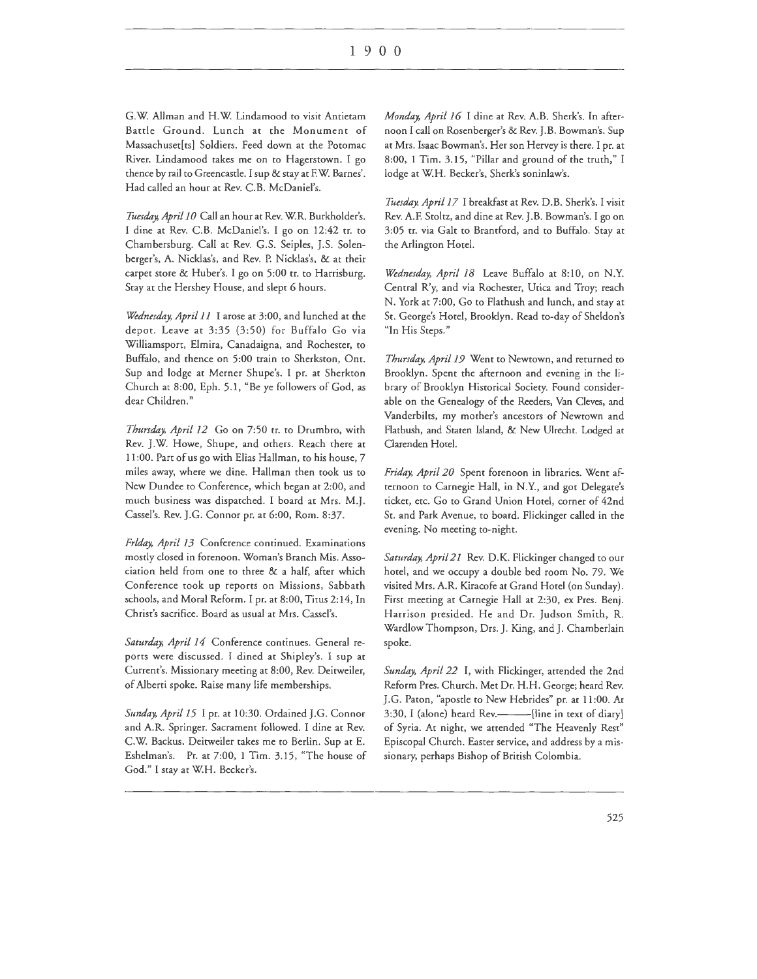G.W. Allman and H.W. Lindamood co visit Antietam Battle Ground. Lunch at the Monument of Massachuset[ts] Soldiers. Feed down at the Potomac River. Lindamood takes me on co Hagerstown. I go thence by rail co Greencastle. I sup & stay at F. W. Barnes'. Had called an hour at Rev. C.B. McDaniel's.

Tuesday, April 10 Call an hour at Rev. W.R. Burkholder's. I dine at Rev. C.B. McDaniel's. I go on 12:42 tr. to Chambersburg. Call at Rev. G.S. Seiples, J.S. Solenberger's, A. Nicklas's, and Rev. P. Nicklas's, & at their carpet store & Huber's. I go on 5:00 tr. co Harrisburg. Stay at the Hershey House, and slept 6 hours.

*Wednesday, April 11* I arose at 3:00, and lunched at the depot. Leave at 3:35 (3:50) for Buffalo Go via Williamsport, Elmira, Canadaigna, and Rochester, co Buffalo, and thence on 5:00 train co Sherkston, Ont. Sup and lodge at Merner Shupe's. I pr. at Sherkton Church at 8:00, Eph. 5.1, "Be ye followers of God, as dear Children."

*Thursday, April 12* Go on 7:50 tr. co Drumbro, with Rev. J.W. Howe, Shupe, and others. Reach there at 11 :00. Part of us go with Elias Hallman, co his house, 7 miles away, where we dine. Hallman then cook us co New Dundee to Conference, which began at 2:00, and much business was dispatched. I board at Mrs. M.J. Cassel's. Rev. J.G. Connor pr. at 6:00, Rom. 8:37.

*Friday, April 13* Conference continued. Examinations mostly closed in forenoon. Woman's Branch Mis. Association held from one co three & a half, after which Conference took up reports on Missions, Sabbath schools, and Moral Reform. I pr. at 8:00, Titus 2: 14, In Christ's sacrifice. Board as usual at Mrs. Cassel's.

*Saturday, April 14* Conference continues. General reports were discussed. I dined at Shipley's. I sup at Current's. Missionary meeting at 8:00, Rev. Deitweiler, of Alberti spoke. Raise many life memberships.

*Sunday, April 15* I pr. at 10:30. Ordained J.G. Connor and A.R. Springer. Sacrament followed. I dine at Rev. C.W. Backus. Deitweiler takes me to Berlin. Sup at E. Eshelman's. Pr. at 7:00, 1 Tim. 3.15, "The house of God." I stay at W.H. Becker's.

*Monday, April 16* I dine at Rev. A.B. Sherk's. In afternoon I call on Rosenberger's & Rev. J.B. Bowman's. Sup at Mrs. Isaac Bowman's. Her son Hervey is there. I pr. at 8:00, 1 Tim. 3.15, "Pillar and ground of the truth," I lodge at W.H. Becker's, Sherk's soninlaw's.

*Tuesday, April 17* I breakfast at Rev. D.B. Sherk's. I visit Rev. A.F. Stoltz, and dine at Rev. J.B. Bowman's. I go on 3:05 tr. via Galt to Brantford, and co Buffalo. Stay at the Arlington Hotel.

*Wednesday, April 18* Leave Buffalo at 8:10, on N.Y. Central R'y, and via Rochester, Utica and Troy; reach N. York at 7:00, Go to Flathush and lunch, and stay at St. George's Hotel, Brooklyn. Read to-day of Sheldon's "In His Steps."

*Thursday, April 19* Went to Newtown, and returned to Brooklyn. Spent the afternoon and evening in the library of Brooklyn Historical Society. Found considerable on the Genealogy of the Reeders, Van Cleves, and Vanderbilts, my mother's ancestors of Newtown and Flatbush, and Staten Island, & New Ulrecht. Lodged at Clarenden Hotel.

*Friday, April 20* Spent forenoon in libraries. Went afternoon co Carnegie Hall, in N.Y., and got Delegate's ticket, etc. Go to Grand Union Hotel, corner of 42nd St. and Park Avenue, co board. Flickinger called in the evening. No meeting to-night.

Saturday, April 21 Rev. D.K. Flickinger changed to our hotel, and we occupy a double bed room No. 79. We visited Mrs. A.R. Kiracofe at Grand Hotel (on Sunday). First meeting at Carnegie Hall at 2:30, ex Pres. Benj. Harrison presided. He and Dr. Judson Smith, R. Wardlow Thompson, Drs. J. King, and J. Chamberlain spoke.

*Sunday, April 22* I, with Flickinger, attended the 2nd Reform Pres. Church. Met Dr. H.H. George; heard Rev. J.G. Paton, "apostle to New Hebrides" pr. at 11:00. At 3:30, I (alone) heard Rev.----------[line in text of diary] of Syria. At night, we attended "The Heavenly Rest" Episcopal Church. Easter service, and address by a missionary, perhaps Bishop of British Colombia.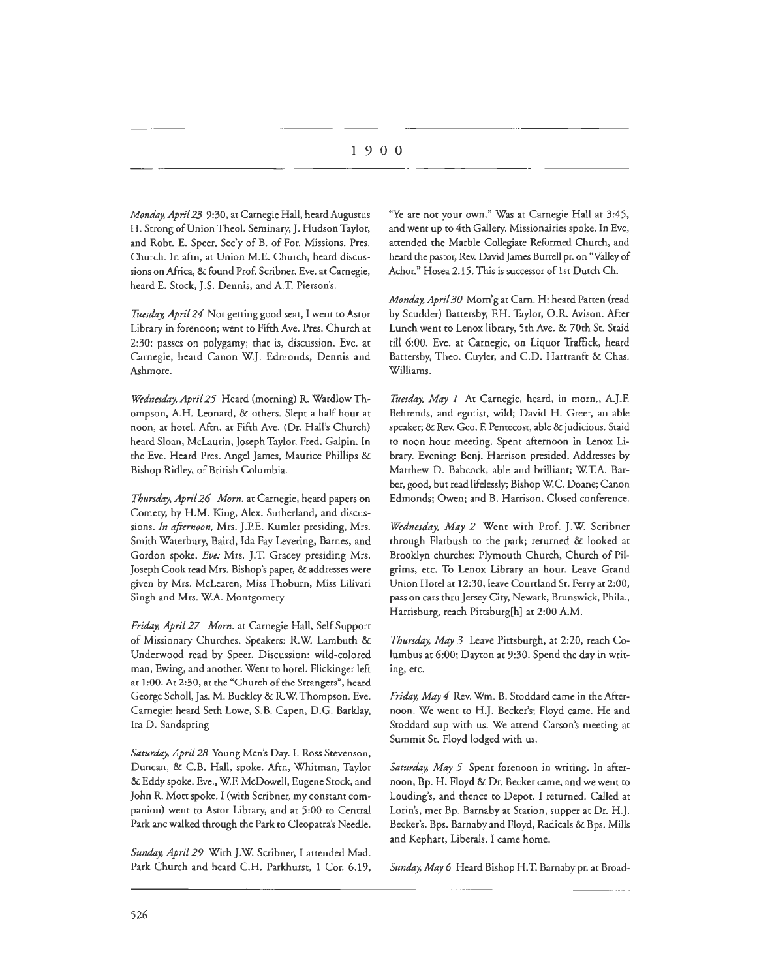*Monday, April 23* 9:30, at Carnegie Hall, heard Augustus H. Strong of Union Theo!. Seminary, J. Hudson Taylor, and Robt. E. Speer, Sec'y of B. of For. Missions. Pres. Church. In aftn, at Union M.E. Church, heard discussions on Africa, & found Prof. Scribner. Eve. at Carnegie, heard E. Stock, J.S. Dennis, and A.T. Pierson's.

Tuesday, April 24 Not getting good seat, I went to Astor Library in forenoon; went to Fifth Ave. Pres. Church at 2:30; passes on polygamy; char is, discussion. Eve. ar Carnegie, heard Canon W.J. Edmonds, Dennis and Ashmore.

*Wednesday, April 25* Heard (morning) R. Wardlow Thompson, A.H. Leonard, & others. Slept a half hour at noon, at hotel. Aftn. at Fifth Ave. (Dr. Hall's Church) heard Sloan, Mclaurin, Joseph Taylor, Fred. Galpin. In the Eve. Heard Pres. Angel James, Maurice Phillips & Bishop Ridley, of British Columbia.

*Thursday, April 26 Morn.* at Carnegie, heard papers on Comery, by H.M. King, Alex. Sutherland, and discussions. *In afternoon,* Mrs. J.P.E. Kumler presiding, Mrs. Smith Waterbury, Baird, Ida Fay Levering, Barnes, and Gordon spoke. *Eve:* Mrs. J.T. Gracey presiding Mrs. Joseph Cook read Mrs. Bishop's paper, & addresses were given by Mrs. McLearen, Miss Thoburn, Miss Lilivati Singh and Mrs. WA. Montgomery

*Friday, April 27 Morn.* at Carnegie Hall, Self Support of Missionary Churches. Speakers: R.W. Lambuth & Underwood read by Speer. Discussion: wild-colored man, Ewing, and another. Went to hotel. Flickinger left at 1:00. At 2:30, at the "Church of the Strangers", heard George Scholl, Jas. M. Buckley & R.W Thompson. Eve. Carnegie: heard Seth Lowe, S.B. Capen, D.G. Barklay, Ira D. Sandspring

*Saturday, April 28* Young Men's Day. I. Ross Stevenson, Duncan, & C.B. Hall, spoke. Aftn, Whitman, Taylor & Eddy spoke. Eve., WF. McDowell, Eugene Stock, and John R. Mott spoke. I (with Scribner, my constant companion) went to Astor Library, and at 5:00 to Central Park anc walked through the Park to Cleopatra's Needle.

Sunday, April 29 With J.W. Scribner, I attended Mad. Park Church and heard C.H. Parkhurst, 1 Cor. 6.19,

"Ye are not your own." Was at Carnegie Hall at 3:45, and went up to 4th Gallery. Missionairies spoke. In Eve, attended the Marble Collegiate Reformed Church, and heard the pastor, Rev. David James Burrell pr. on "Valley of Achor." Hosea 2.15. This is successor of l st Dutch Ch.

*Monday, April 30* Morn'g at Carn. H: heard Patten (read by Scudder) Battersby, F.H. Taylor, O.R. Avison. After Lunch went to Lenox library, 5th Ave. & 70th St. Staid till 6:00. Eve. at Carnegie, on Liquor Traffick, heard Battersby, Theo. Cuyler, and C.D. Hartranft & Chas. Williams.

*Tuesday, May 1* At Carnegie, heard, in morn., A.J.F. Behrends, and egotist, wild; David H. Greer, an able speaker; & Rev. Geo. F. Pentecost, able & judicious. Staid to noon hour meeting. Spent afternoon in Lenox Library. Evening: Benj. Harrison presided. Addresses by Matthew D. Babcock, able and brilliant; WT.A. Barber, good, but read lifelessly; Bishop WC. Doane; Canon Edmonds; Owen; and B. Harrison. Closed conference.

*Wednesday, May 2* Went with Prof. J.W. Scribner through Flatbush to the park; rerurned & looked at Brooklyn churches: Plymouth Church, Church of Pilgrims, etc. To Lenox Library an hour. Leave Grand Union Hotel at 12:30, leave Courdand St. Ferry at 2:00, pass on cars thru Jersey City, Newark, Brunswick, Phila., Harrisburg, reach Pittsburg[h) at 2:00 A.M.

*Thursday, May 3* Leave Pittsburgh, at 2:20, reach Columbus at 6:00; Dayton at 9:30. Spend the day in writing, etc.

*Friday, May 4* Rev. Wm. B. Stoddard came in the Afternoon. We went to H.J. Becker's; Floyd came. He and Stoddard sup with us. We attend Carson's meeting at Summit St. Floyd lodged with us.

*Saturday, May 5* Spent forenoon in writing. In afternoon, Bp. H. Floyd & Dr. Becker came, and we went to Louding's, and thence to Depot. I returned. Called at Lorin's, met Bp. Barnaby at Station, supper at Dr. H.J. Becker's. Bps. Barnaby and Floyd, Radicals & Bps. Mills and Kephart, Liberals. I came home.

*Sunday, May 6* Heard Bishop H.T. Barnaby pr. at Broad-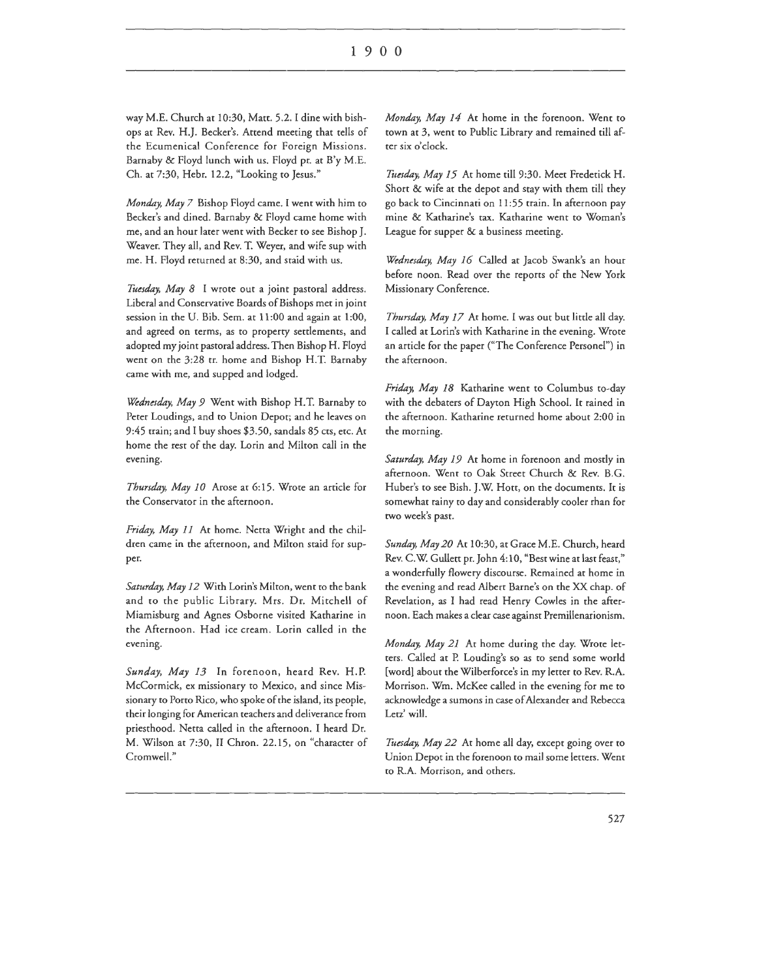way M.E. Church at 10:30, Matt. 5.2. I dine with bishops at Rev. H.J. Becker's. Attend meeting chat cells of the Ecumenical Conference for Foreign Missions. Barnaby & Floyd lunch with us. Floyd pr. at B'y M.E. Ch. at 7:30, Hebr. 12.2, "Looking to Jesus."

*Monday, May 7* Bishop Floyd came. I went with him ro Becker's and dined. Barnaby & Floyd came home with me, and an hour later went with Becker to see Bishop J. Weaver. They all, and Rev. T. Weyer, and wife sup with me. H. Floyd returned at 8:30, and staid with us.

Tuesday, May 8 I wrote out a joint pastoral address. Liberal and Conservative Boards of Bishops met in joint session in rhe U. Bib. Sem. at 11:00 and again at 1:00, and agreed on terms, as to property settlements, and adopted my joint pastoral address. Then Bishop H. Floyd went on the 3:28 tr. home and Bishop H.T. Barnaby came with me, and supped and lodged.

*Wednesday, May 9* Went with Bishop H.T. Barnaby ro Peter Loudings, and to Union Depot; and he leaves on 9:45 train; and I buy shoes \$3.50, sandals 85 cts, etc. Ar home the rest of the day. Lorin and Milton call in the evening.

*Thursday, May 10* Arose at 6: 15. Wrote an article for rhe Conservator in the afternoon.

*Friday, May 11* At home. Netta Wright and the children came in the afternoon, and Milton staid for supper.

*Saturday, May 12* With Lorin's Milton, went to the bank and to the public Library. Mrs. Dr. Mitchell of Miamisburg and Agnes Osborne visited Katharine in the Afternoon. Had ice cream. Lorin called in the evening.

*Sunday, May 13* In forenoon, heard Rev. H.P. McCormick, ex missionary ro Mexico, and since Missionary ro Porro Rico, who spoke of the island, its people, their longing for American teachers and deliverance from priesthood. Nerta called in the afternoon. I heard Dr. M. Wilson ar 7:30, II Chron. 22.15, on "character of Cromwell."

*Monday, May 14* At home in the forenoon. Went to town at 3, went ro Public Library and remained rill after six o'clock.

Tuesday, May 15 At home till 9:30. Meet Fredetick H. Shorr & wife at the depot and stay with chem rill they go back to Cincinnati on 11:55 train. In afternoon pay mine & Katharine's tax. Katharine went ro Woman's League for supper & a business meeting.

*Wednesday, May 16* Called at Jacob Swank's an hour before noon. Read over the reports of the New York Missionary Conference.

*Thursday, May 17* At home. I was out but little all day. I called at Lorin's with Katharine in the evening. Wrote an article for the paper ("The Conference Personel") in the afternoon.

*Friday, May 18* Katharine went to Columbus co-day with the debaters of Dayton High School. It rained in the afternoon. Katharine returned home about 2:00 in rhe morning.

*Saturday, May 19* At home in forenoon and mostly in afternoon. Went ro Oak Street Church & Rev. B.G. Huber's to see Bish. J.W. Hott, on the documents. Ir is somewhat rainy to day and considerably cooler rhan for rwo week's past.

*Sunday, May 20* At 10:30, at Grace M.E. Church, heard Rev. C.W. Gullett pr. John 4: 10, "Best wine at last feast," a wonderfully flowery discourse. Remained at home in the evening and read Albert Barne's on the XX chap. of Revelation, as I had read Henry Cowles in rhe afternoon. Each makes a clear case against Premillenarionism.

*Monday, May 21* At home during the day. Wrote letters. Called at P. Louding's so as to send some world [word) about the Wilberforce's in my letter to Rev. R.A. Morrison. Wm. McKee called in the evening for me to acknowledge a sumons in case of Alexander and Rebecca Letz' will.

*Tuesday, May 22* At home all day, except going over to Union Depot in rhe forenoon ro mail some letters. Went to R.A. Morrison, and others.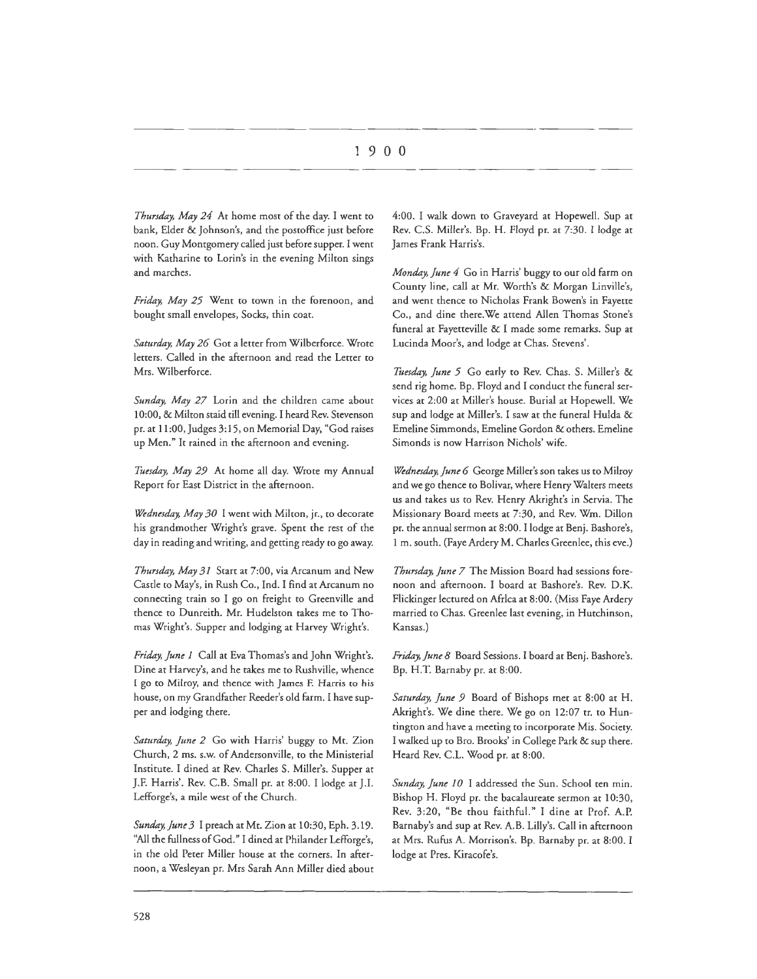*Thursday, May 24* At home most of the day. I went to bank, Elder & Johnson's, and the postoffice just before noon. Guy Montgomery called just before supper. I went with Katharine to Lorin's in the evening Milton sings and marches.

*Friday, May 25* Went to town in the forenoon, and bought small envelopes, Socks, thin coat.

*Saturday, May 26* Got a letter from Wilberforce. Wrote letters. Called in the afternoon and read the Letter to Mrs. Wilberforce.

*Sunday, May 27* Lorin and the children came about 10:00, & Milton staid till evening. I heard Rev. Stevenson pr. at 11 :00, Judges 3: 15, on Memorial Day, "God raises up Men." It rained in the afternoon and evening.

*liwday, May 29* At home all day. Wrote my Annual Report for East District in the afternoon.

*Wednesday, May 30* I went with Milton, jr., to decorate his grandmother Wright's grave. Spent the rest of the day in reading and writing, and getting ready to go away.

*Thursday, May 31* Start at 7:00, via Arcanum and New Casrle to May's, in Rush Co., Ind. I find at Arcanum no connecting train so I go on freight to Greenville and thence to Dunreith. Mr. Hudelston takes me to Thomas Wright's. Supper and lodging at Harvey Wright's.

*Friday, June 1* Call at Eva Thomas's and John Wright's. Dine ar Harvey's, and he takes me to Rushville, whence I go to Milroy, and thence with James F. Harris to his house, on my Grandfather Reeder's old farm. I have supper and lodging there.

Saturday, June 2 Go with Harris' buggy to Mt. Zion Church, 2 ms. s.w. of Andersonville, to rhe Ministerial lnsrirure. I dined at Rev. Charles S. Miller's. Supper at J.F. Harris'. Rev. C.B. Small pr. at 8:00. I lodge at J.I. Lefforge's, a mile west of the Church.

*Sunday, June 3* I preach at Mt. Zion at 10:30, Eph. 3.19. "All the fullness of God." I dined at Philander Lefforge's, in the old Peter Miller house at the corners. In afternoon, a Wesleyan pr. Mrs Sarah Ann Miller died about

4:00. I walk down to Graveyard at Hopewell. Sup at Rev. C.S. Miller's. Bp. H. Floyd pr. at 7:30. I lodge at James Frank Harris's.

*Monday, June 4* Go in Harris' buggy to our old farm on Counry line, call at Mr. Worth's & Morgan Linville's, and went thence to Nicholas Frank Bowen's in Fayette Co., and dine there.We attend Allen Thomas Stone's funeral at Fayetteville & I made some remarks. Sup at Lucinda Moor's, and lodge at Chas. Stevens'.

*liwday, June 5* Go early to Rev. Chas. S. Miller's & send rig home. Bp. Floyd and I conduce the funeral services at 2:00 at Miller's house. Burial at Hopewell. We sup and lodge at Miller's. I saw at the funeral Hulda & Emeline Simmonds, Emeline Gordon & others. Emeline Simonds is now Harrison Nichols' wife.

*Wednesday, June 6* George Miller's son takes us to Milroy and we go thence to Bolivar, where Henry Walters meets us and takes us to Rev. Henry Akright's in Servia. The Missionary Board meets at 7:30, and Rev. Wm. Dillon pr. the annual sermon at 8:00. I lodge at Benj. Bashore's, 1 m. south. (Faye Ardery M. Charles Greenlee, chis eve.)

*Thursday, June 7* The Mission Board had sessions forenoon and afternoon. I board at Bashore's. Rev. D.K. Flickinger lectured on Africa at 8:00. (Miss Faye Ardery married to Chas. Greenlee last evening, in Hutchinson, Kansas.)

Friday, June 8 Board Sessions. I board at Benj. Bashore's. Bp. H.T. Barnaby pr. at 8:00.

*Saturday, June 9* Board of Bishops met at 8:00 at H. Akright's. We dine there. We go on 12:07 tr. to Huntington and have a meeting to incorporate Mis. Sociery. I walked up to Bro. Brooks' in College Park & sup rhere. Heard Rev. C.L. Wood pr. at 8:00.

*Sunday, June 10* I addressed the Sun. School ten min. Bishop H. Floyd pr. the bacalaureate sermon at 10:30, Rev. 3:20, "Be thou faithful." I dine at Prof. A.P. Barnaby's and sup at Rev. A.B. Lilly's. Call in afternoon at Mrs. Rufus A. Morrison's. Bp. Barnaby pr. at 8:00. I lodge at Pres. Kiracofe's.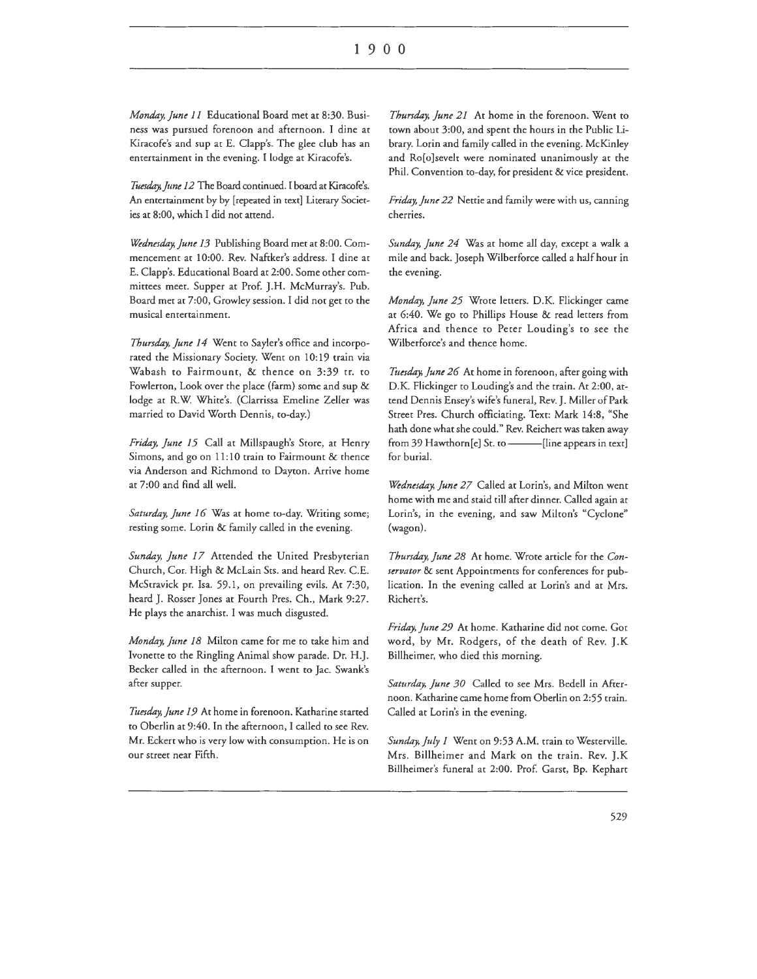*Monday, June* 11 Educational Board met at 8:30. Business was pursued forenoon and afternoon. I dine at Kiracofe's and sup at E. Clapp's. The glee club has an entertainment in the evening. I lodge at Kiracofe's.

*Ttiesday, June* 12 The Board continued. I board at Kiracofe's. An entertainment by by [repeated in text] Literary Societies at 8:00, which I did not attend.

*Wednesday, June 13* Publishing Board met at 8:00. Commencement at 10:00. Rev. Naftker's address. I dine at E. Clapp's. Educational Board at 2:00. Some other committees meet. Supper at Prof. J.H. McMurray's. Pub. Board met at 7:00, Growley session. I did not get to the musical entertainment.

*Thursday, June* 14 Went to Sayler's office and incorporated the Missionary Society. Went on 10:19 train via Wabash to Fairmount, & thence on 3:39 tr. to Fowlerton, Look over the place (farm) some and sup & lodge at R.W: White's. (Clarrissa Emeline Zeller was married to David Worth Dennis, to-day.)

*Friday, June* 15 Call at Millspaugh's Store, at Henry Simons, and go on 11: 10 train to Fairmount & thence via Anderson and Richmond to Dayton. Arrive home at 7:00 and find all well.

*Saturday, June* 16 Was at home to-day. Writing some; resting some. Lorin & family called in the evening.

*Sunday, June* 17 Attended the United Presbyterian Church, Cor. High & McLain Sts. and heard Rev. C.E. McStravick pr. Isa. 59.1, on prevailing evils. At 7:30, heard J. Rosser Jones at Fourth Pres. Ch., Mark 9:27. He plays the anarchist. I was much disgusted.

*Monday, June* 18 Milton came for me to cake him and Ivonette to the Ringling Animal show parade. Dr. H.J. Becker called in the afternoon. I went to Jac. Swank's after supper.

Tuesday, June 19 At home in forenoon. Katharine started to Oberlin at 9:40. In the afternoon, I called to see Rev. Mr. Eckert who is very low with consumption. He is on our street near Fifth.

*Thursday, June* 21 At home in the forenoon. Went to town about 3:00, and spent the hours in the Public Library. Lorin and family called in the evening. McKinley and Ro[o]sevelt were nominated unanimously at the Phil. Convention to-day, for president & vice president.

*Friday, June* 22 Nettie and family were with us, canning cherries.

*Sunday, June 24* Was at home all day, except a walk a mile and back. Joseph Wilberforce called a half hour in the evening.

*Monday, June 25* Wrote letters. D.K. Flickinger came at 6:40. We go to Phillips House & read letters from Africa and thence to Peter Louding's to see the Wilberforce's and thence home.

*Ttusday, June 26* At home in forenoon, after going with D.K. Flickinger to Louding's and the train. At 2:00, attend Dennis Ensey's wife's funeral, Rev. J. Miller of Park Street Pres. Church officiating. Text: Mark 14:8, "She hath done what she could." Rev. Reichert was taken away from 39 Hawthorn[e] St. to  $\frac{1}{\text{line appears in text}}$ for burial.

*Wednesday, June 27* Called at Lorin's, and Milton went home with me and staid till after dinner. Called again at Lorin's, in the evening, and saw Milton's "Cyclone" (wagon).

*Thursday, June 28* At home. Wrote article for the *Conservator* & sent Appointments for conferences for publication. In the evening called at Lorin's and at Mrs. Richert's.

*Friday, June 29* At home. Katharine did not come. Got word, by Mr. Rodgers, of the death of Rev. J.K Billheimer, who died this morning.

*Saturday, June 30* Called to see Mrs. Bedell in Afrernoon. Katharine came home from Oberlin on 2:55 train. Called at Lorin's in the evening.

*Sunday, July* 1 Went on 9:53 A.M. train to Westerville. Mrs. Billheimer and Mark on the train. Rev. J.K Billheimer's funeral at 2:00. Prof. Garst, Bp. Kephart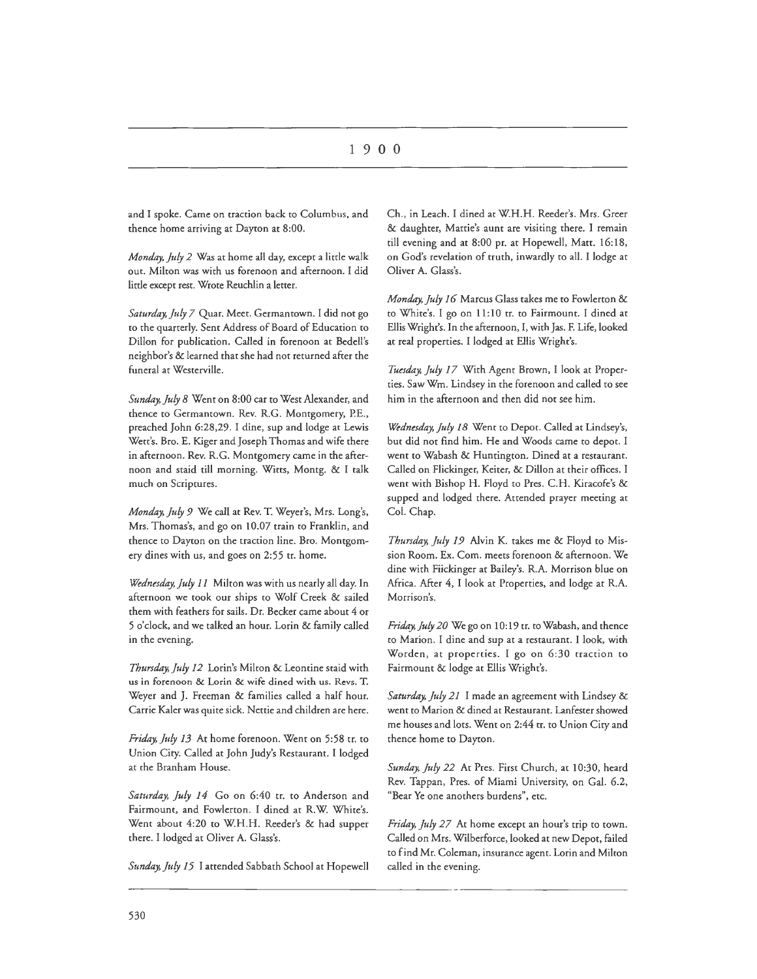and I spoke. Came on traction back to Columbus, and thence home arriving at Dayton at 8:00.

*Monday, July 2* Was at home all day, except a little walk out. Milton was with us forenoon and afternoon. I did little except rest. Wrote Reuchlin a letter.

*Saturday, July 7* Quar. Meet. Germantown. I did not go to the quarterly. Sent Address of Board of Education to Dillon for publication. Called in forenoon at Bedell's neighbor's & learned that she had not returned after the funeral at Westerville.

*Sunday, July 8* Went on 8:00 car to West Alexander, and thence to Germantown. Rev. R.G. Montgomery, P.E., preached John 6:28,29. I dine, sup and lodge at Lewis Wett's. Bro. E. Kiger and Joseph Thomas and wife there in afternoon. Rev. R.G. Montgomery came in the afternoon and staid till morning. Witts, Montg. & I talk much on Scriptures.

*Monday, July 9* We call at Rev. T. Weyer's, Mrs. Long's, Mrs. Thomas's, and go on 10.07 train to Franklin, and thence to Dayton on the tracrion line. Bro. Montgomery dines with us, and goes on 2:55 tr. home.

*Wednesday, July 11* Milton was with us nearly all day. In afternoon we took our ships to Wolf Creek & sailed them with feathers for sails. Dr. Becker came about 4 or 5 o'clock, and we talked an hour. Lorin & family called in the evening.

Thursday, July 12 Lorin's Milton & Leontine staid with us in forenoon & Lorin & wife dined with us. Revs. T. Weyer and J. Freeman & families called a half hour. Carrie Kaler was quite sick. Nettie and children are here.

*Friday, July 13* At home forenoon. Went on 5:58 tr. to Union City. Called at John Judy's Restaurant. I lodged at the Branham House.

Saturday, July 14 Go on 6:40 tr. to Anderson and Fairmount, and Fowlerton. I dined at R.W. White's. Went about 4:20 to W.H.H. Reeder's & had supper there. I lodged at Oliver A. Glass's.

Sunday, July 15 I attended Sabbath School at Hopewell

Ch., in Leach. I dined at W.H.H. Reeder's. Mrs. Greer & daughter, Mattie's aunt are visiting there. I remain till evening and at 8:00 pr. at Hopewell, Matt. 16:18, on God's revelation of truth, inwardly to all. I lodge at Oliver A. Glass's.

*Monday, July 16* Marcus Glass takes me to Fowlerton & to White's. I go on 11: 10 tr. to Fairmount. I dined at Ellis Wright's. In the afternoon, I, with Jas. F. Life, looked at real properties. I lodged at Ellis Wright's.

*Tuesday, July 17* With Agent Brown, I look at Properties. Saw Wm. Lindsey in the forenoon and called to see him in the afternoon and then did not see him.

*Wednesday, July 18* Went to Depot. Called at Lindsey's, but did not find him. He and Woods came to depot. I went to Wabash & Huntington. Dined at a restaurant. Called on Flickinger, Keiter, & Dillon at their offices. I went with Bishop H. Floyd to Pres. C.H. Kiracofe's & supped and lodged there. Attended prayer meeting at Col. Chap.

*Thursday, July 19* Alvin K. takes me & Floyd to Mission Room. Ex. Com. meets forenoon & afternoon. We dine with Fiickinger at Bailey's. R.A. Morrison blue on Africa. After 4, I look at Properties, and lodge at R.A. Morrison's.

*Friday, July 20* We go on 10: 19 tr. to Wabash, and thence to Marion. I dine and sup at a restaurant. I look, with Worden, at properties. I go on 6:30 traction to Fairmount & lodge at Ellis Wright's.

*Saturday, July 21* I made an agreement with Lindsey & went to Marion & dined at Restaurant. Lanfester showed me houses and lots. Went on 2:44 tr. to Union City and thence home to Dayton.

*Sunday, July 22* At Pres. First Church, at 10:30, heard Rev. Tappan, Pres. of Miami University, on Gal. 6.2, "Bear Ye one anothers burdens", etc.

*Friday, July 27* At home except an hour's trip to town. Called on Mrs. Wilberforce, looked at new Depot, failed to find Mr. Coleman, insurance agent. Lorin and Milton called in the evening.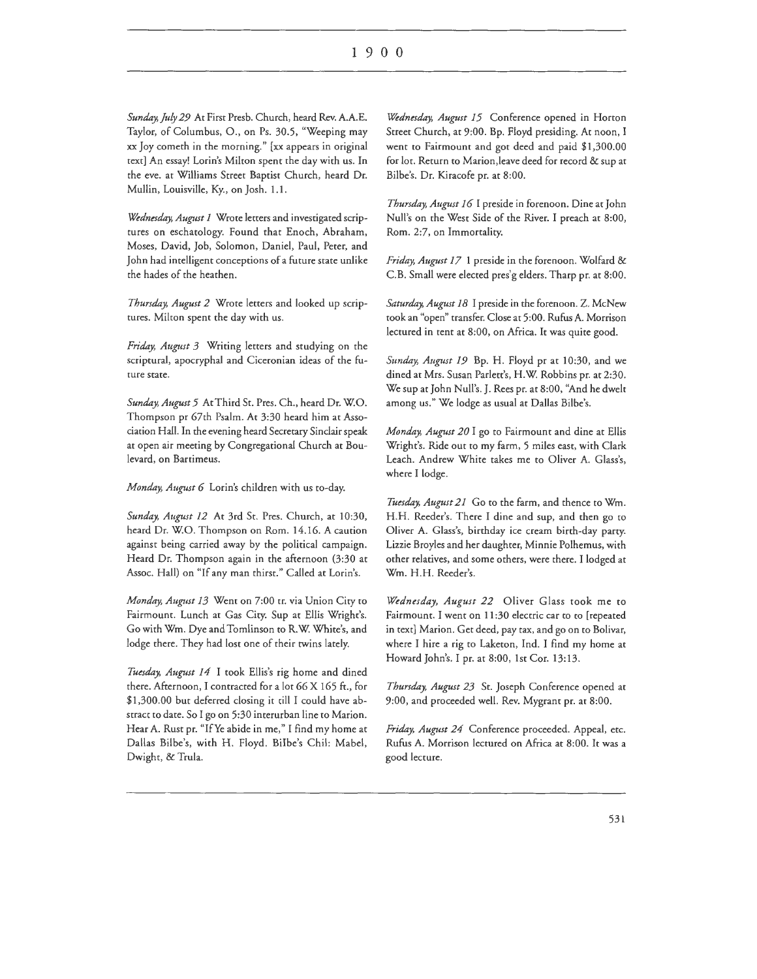*Sunday, July 29* At First Presb. Church, heard Rev. A.A.E. Taylor, of Columbus, 0., on Ps. 30.5, "Weeping may xx Joy cometh in the morning." [xx appears in original text] An essay! Lorin's Milton spent the day with us. In the eve. at Williams Street Baptist Church, heard Dr. Mullin, Louisville, Ky., on Josh. 1.1.

*Wednesday, August 1* Wrote letters and investigated scriptures on eschatology. Found that Enoch, Abraham, Moses, David, Job, Solomon, Daniel, Paul, Peter, and John had intelligent conceptions of a future state unlike the hades of the heathen.

*Thursday, August 2* Wrote letters and looked up scriptures. Milton spent the day with us.

*Friday, August 3* Writing letters and studying on the scriptural, apocryphal and Ciceronian ideas of the future state.

*Sunday, August 5* At Third St. Pres. Ch., heard Dr. W.0. Thompson pr 67rh Psalm. Ar 3:30 heard him at Association Hall. In the evening heard Secretary Sinclair speak ar open air meeting by Congregational Church at Boulevard, on Bartimeus.

*Monday, August 6* Lorin's children with us to-day.

*Sunday, August 12* At 3rd Sr. Pres. Church, at 10:30, heard Dr. W.O. Thompson on Rom. 14.16. A caution against being carried away by the political campaign. Heard Dr. Thompson again in the afternoon (3:30 at Assoc. Hall) on "If any man thirst." Called at Lorin's.

*Monday, August 13* Went on 7:00 tr. via Union City to Fairmount. Lunch at Gas City. Sup at Ellis Wright's. Go with Wm. Dye and Tomlinson ro R.W. White's, and lodge there. They had lost one of their twins lately.

Tuesday, August 14 I took Ellis's rig home and dined there. Afternoon, I contracted for a lot 66 X 165 ft., for \$1,300.00 but deferred dosing it rill I could have abstract to date. So I go on 5:30 interurban line to Marion. Hear A. Rust pr. "IfYe abide in me," I find my home at Dallas Bilbe's, with H. Floyd. Bilbe's Chil: Mabel, Dwight, & Trula.

*Wednesday, August 15* Conference opened in Horton Street Church, at 9:00. Bp. Floyd presiding. At noon, I went to Fairmount and got deed and paid \$1,300.00 for lot. Return to Marion,leave deed for record & sup at Bilbe's. Dr. Kiracofe pr. at 8:00.

*Thursday, August 16* I preside in forenoon. Dine at John Null's on the West Side of the River. I preach at 8:00, Rom. 2:7, on Immortality.

*Friday, August 17* 1 preside in the forenoon. Wolfard & C.B. Small were elected pres'g elders. Tharp pr. at 8:00.

*Saturday, August 18* I preside in the forenoon. Z. McNew took an "open" transfer. Close at 5:00. Rufus A. Morrison lectured in tent at 8:00, on Africa. It was quite good.

*Sunday, August 19* Bp. H. Floyd pr at 10:30, and we dined at Mrs. Susan Parlett's, H.W. Robbins pr. at 2:30. We sup at John Null's. J. Rees pr. at 8:00, "And he dwelt among us." We lodge as usual at Dallas Bilbe's.

*Monday, August 20* I go to Fairmount and dine at Ellis Wright's. Ride our to my farm, 5 miles east, with Clark Leach. Andrew White takes me to Oliver A. Glass's, where I lodge.

Tuesday, August 21 Go to the farm, and thence to Wm. H.H. Reeder's. There I dine and sup, and then go to Oliver A. Glass's, birthday ice cream birth-day parry. Lizzie Broyles and her daughter, Minnie Polhemus, with other relatives, and some others, were there. I lodged at Wm. H.H. Reeder's.

*Wednesday, August 22* Oliver Glass took me to Fairmount. I went on 11:30 electric car to to [repeated in text] Marion. Ger deed, pay tax, and go on ro Bolivar, where I hire a rig to Laketon, Ind. I find my home at Howard John's. I pr. at 8:00, 1st Cor. 13:13.

*Thursday, August 23* St. Joseph Conference opened at 9:00, and proceeded well. Rev. Mygrant pr. at 8:00.

*Friday, August 24* Conference proceeded. Appeal, etc. Rufus A. Morrison lectured on Africa at 8:00. It was a good lecture.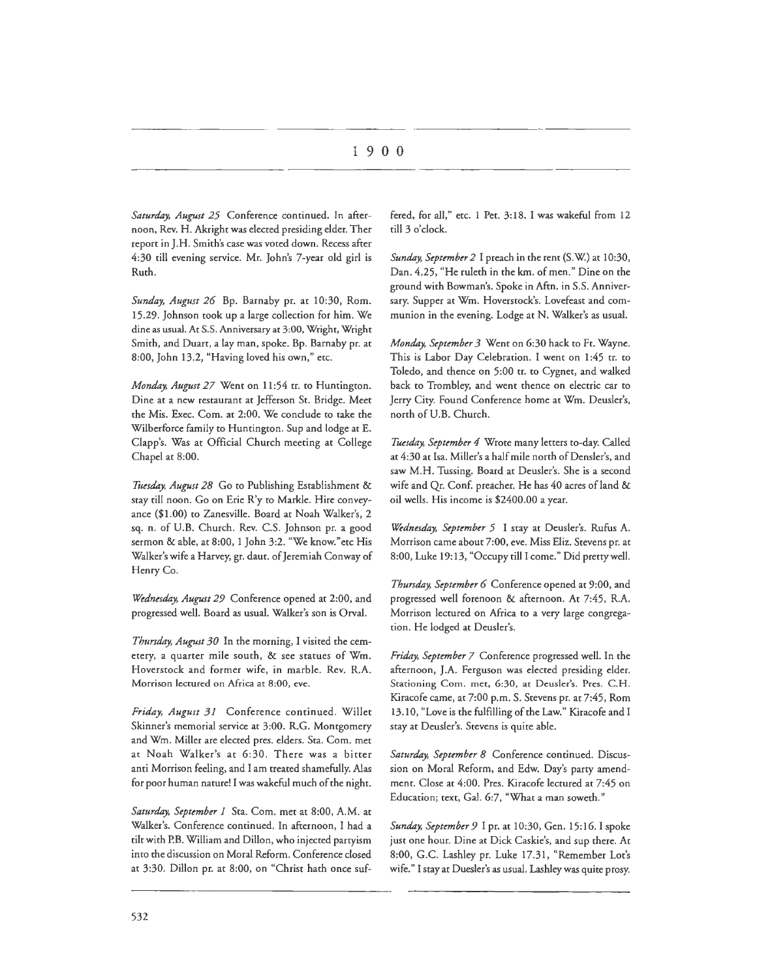# I 9 0 0

*Saturday, August 25* Conference continued. In afternoon, Rev. H. Akright was elected presiding elder. Ther report in J.H. Smith's case was voted down. Recess after 4:30 till evening service. Mr. John's 7-year old girl is Ruth.

*Sunday, August 26* Bp. Barnaby pr. at 10:30, Rom. 15.29. Johnson took up a large collection for him. We dine as usual. At S.S. Anniversary at 3:00, Wright, Wright Smith, and Duart, a lay man, spoke. Bp. Barnaby pr. at 8:00, John 13.2, "Having loved his own," etc.

*Monday, August 27* Went on 11 :54 tr. to Huntington. Dine at a new restaurant at Jefferson St. Bridge. Meet the Mis. Exec. Com. at 2:00. We conclude to take the Wilberforce family to Huntington. Sup and lodge at E. Clapp's. Was at Official Church meeting at College Chapel at 8:00.

Tuesday, August 28 Go to Publishing Establishment & stay till noon. Go on Erie R'y to Markle. Hire conveyance (\$1.00) to Zanesville. Board at Noah Walker's, 2 sq. n. of U.B. Church. Rev. C.S. Johnson pr. a good sermon & able, at 8:00, l John 3:2. "We know."etc His Walker's wife a Harvey, gr. daut. of Jeremiah Conway of Henry Co.

*Wednesday, August 29* Conference opened at 2:00, and progressed well. Board as usual. Walker's son is Orval.

*Thursday, August 30* In the morning, I visited the cemetery, a quarter mile south, & see statues of Wm. Hoverstock and former wife, in marble. Rev. R.A. Morrison lectured on Africa at 8:00, eve.

*Friday, August 31* Conference continued. Willet Skinner's memorial service at 3:00. R.G. Montgomery and Wm. Miller are elected pres. elders. Sta. Com. met at Noah Walker's at 6:30. There was a bitter anti Morrison feeling, and I am treated shamefully. Alas for poor human nature! I was wakeful much of the night.

*Saturday, September I* Sta. Com. met at 8:00, A.M. at Walker's. Conference continued. In afternoon, I had a tilt with P.B. William and Dillon, who injected partyism into the discussion on Moral Reform. Conference closed at 3:30. Dillon pr. at 8:00, on "Christ hath once suffered, for all," etc. l Pet. 3:18. I was wakeful from 12 till 3 o'clock.

*Sunday, September 2* I preach in the tent (S.W.) at 10:30, Dan. 4.25, "He ruleth in the km. of men." Dine on the ground with Bowman's. Spoke in Aftn. in S.S. Anniversary. Supper at Wm. Hoverstock's. Lovefeast and communion in the evening. Lodge at N. Walker's as usual.

*Monday, September 3* Went on 6:30 hack to Ft. Wayne. This is Labor Day Celebration. I went on 1:45 tr. to Toledo, and thence on 5:00 tr. to Cygnet, and walked back to Trombley, and went thence on electric car to Jerry City. Found Conference home at Wm. Deusler's, north of U.B. Church.

*Tuesday, September 4* Wrote many letters to-day. Called at 4:30 at Isa. Miller's a half mile north of Densler's, and saw M.H. Tussing. Board at Deusler's. She is a second wife and Qr. Conf. preacher. He has 40 acres of land & oil wells. His income is \$2400.00 a year.

*Wednesday, September 5* I stay at Deusler's. Rufus A. Morrison came about 7:00, eve. Miss Eliz. Stevens pr. at 8:00, Luke 19:13, "Occupy till I come." Did pretty well.

*Thursday, September 6* Conference opened at 9:00, and progressed well forenoon & afternoon. At 7:45, R.A. Morrison lectured on Africa to a very large congregation. He lodged at Deusler's.

*Friday, September 7* Conference progressed well. In the afternoon, J.A. Ferguson was elected presiding elder. Stationing Com. met, 6:30, at Deusler's. Pres. C.H. Kiracofe came, at 7:00 p.m. S. Stevens pr. at 7:45, Rom 13.10, "Love is the fulfilling of the Law." Kiracofe and I stay at Deusler's. Stevens is quite able.

*Saturday, September 8* Conference continued. Discussion on Moral Reform, and Edw. Day's party amendment. Close at 4:00. Pres. Kiracofe lectured at 7:45 on Education; text, Gal. 6:7, "What a man soweth."

*Szmday, September 9* I pr. at 10:30, Gen. 15:16. I spoke just one hour. Dine at Dick Caskie's, and sup there. At 8:00, G.C. Lashley pr. Luke 17.31, "Remember Lot's wife." I stay at Duesler's as usual. Lashley was quite prosy.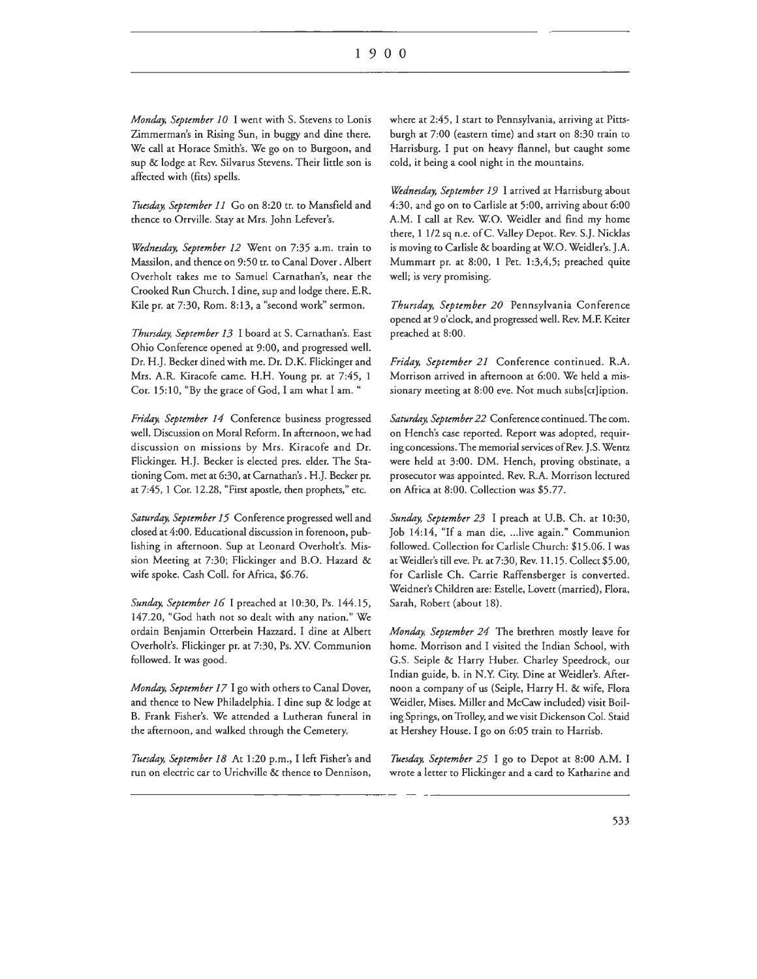*Monday, September 10* I went with S. Stevens to Lonis Zimmerman's in Rising Sun, in buggy and dine there. We call at Horace Smith's. We go on to Burgoon, and sup & lodge at Rev. Silvarus Stevens. Their little son is affected with (fits) spells.

*Tuesday, September 11* Go on 8:20 tr. to Mansfield and thence to Orrville. Stay at Mrs. John Lefever's.

*Wednesday, September 12* Went on 7:35 a.m. train to Massilon, and thence on 9:50 tr. to Canal Dover. Albert Overholt takes me to Samuel Carnathan's, near the Crooked Run Church. I dine, sup and lodge there. E.R. Kile pr. at 7:30, Rom. 8:13, a "second work" sermon.

*Thursday, September 13* I board at S. Carnathan's. East Ohio Conference opened at 9:00, and progressed well. Dr. H.J. Becker dined with me. Dr. D.K. Flickinger and Mrs. A.R. Kiracofe came. H.H. Young pr. at 7:45, 1 Cor. 15: 10, "By the grace of God, I am what I am. "

*Friday, September 14* Conference business progressed well. Discussion on Moral Reform. In afternoon, we had discussion on missions by Mrs. Kiracofe and Dr. Flickinger. H.J. Becker is elected pres. elder. The Stationing Com. met at 6:30, at Carnathan's. H.J. Becker pr. at 7:45, 1 Cor. 12.28, "First apostle, then prophets," etc.

*Saturday, September 15* Conference progressed well and closed at 4:00. Educational discussion in forenoon, publishing in afternoon. Sup at Leonard Overholt's. Mission Meeting at 7:30; Flickinger and B.O. Hazard & wife spoke. Cash Coll. for Africa, \$6.76.

*Sunday, September 16* I preached at 10:30, Ps. 144.15, 147.20, "God hath not so dealt with any nation." We ordain Benjamin Otterbein Hazzard. I dine at Albert Overholt's. Flickinger pr. at 7:30, Ps. XV. Communion followed. It was good.

*Monday, September 17* I go with others to Canal Dover, and thence to New Philadelphia. I dine sup & lodge at B. Frank Fisher's. We attended a Lutheran funeral in the afternoon, and walked through the Cemetery.

*Tuesday, September 18* At 1 :20 p.m., I left Fisher's and run on electric car to Urichville & thence to Dennison, where at 2:45, I start to Pennsylvania, arriving at Pittsburgh at 7:00 (eastern time) and start on 8:30 train to Harrisburg. I put on heavy flannel, but caught some cold, it being a cool night in the mountains.

*Wednesday, September 19* I arrived at Harrisburg about 4:30, and go on to Carlisle at 5:00, arriving about 6:00 A.M. I call at Rev. W.O. Weidler and find my home there, 1 1/2 sq n.e. ofC. Valley Depot. Rev. S.]. Nicklas is moving to Carlisle & boarding at W.O. Weidler's. J.A. Mummart pr. at 8:00, 1 Pet. 1:3,4,5; preached quite well; is very promising.

*Thursday, September 20* Pennsylvania Conference opened at 9 o'clock, and progressed well. Rev. M.F. Keiter preached at 8:00.

*Friday, September 21* Conference continued. R.A. Morrison arrived in afternoon at 6:00. We held a missionary meeting at 8:00 eve. Not much subs[cr]iption.

*Saturday, September 22* Conference continued. The com. on Hench's case reported. Report was adopted, requiring concessions. The memorial services of Rev. J.S. Wentz were held at 3:00. DM. Hench, proving obstinate, a prosecutor was appointed. Rev. R.A. Morrison lectured on Africa at 8:00. Collection was \$5.77.

*Sunday, September 23* I preach at U.B. Ch. at 10:30, Job 14:14, "If a man die, ... live again." Communion followed. Collection for Carlisle Church: \$15.06. I was at Weidler's till eve. Pr. at7:30, Rev. 11.15. Collect \$5.00, for Carlisle Ch. Carrie Raffensberger is converted. Weidner's Children are: Estelle, Lovett (married), Flora, Sarah, Robert (about 18).

*Monday, September 24* The brethren mostly leave for home. Morrison and I visited the Indian School, with G.S. Seiple & Harry Huber. Charley Speedrock, our Indian guide, b. in N.Y. City. Dine at Weidler's. Afternoon a company of us (Seiple, Harry H. & wife, Flora Weidler, Mises. Miller and McCaw included) visit Boiling Springs, on Trolley, and we visit Dickenson Col. Staid at Hershey House. I go on 6:05 train to Harrisb.

*Tuesday, September 25* I go to Depot at 8:00 A.M. I wrote a letter to Flickinger and a card to Katharine and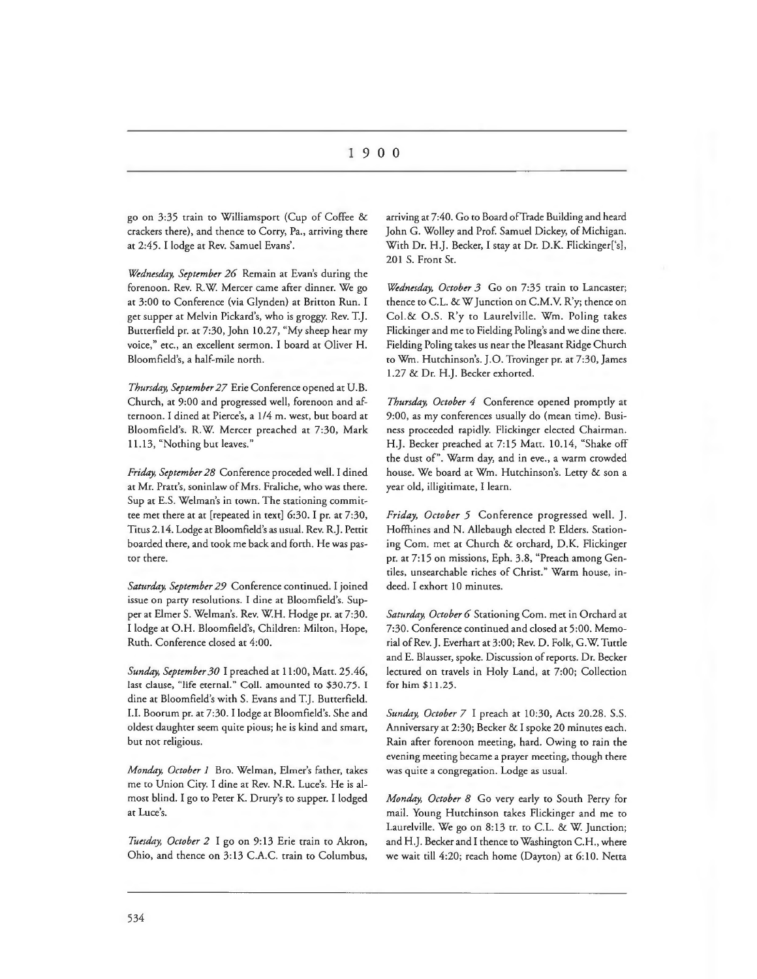go on 3:35 train to Williamsport (Cup of Coffee & crackers there), and thence to Corry, Pa., arriving there at 2:45. I lodge at Rev. Samuel Evans'.

*Wednesday, September 26* Remain at Evan's during the forenoon. Rev. R.W Mercer came after dinner. We go at 3:00 to Conference (via Glynden) at Britton Run. I get supper at Melvin Pickard's, who is groggy. Rev. T.J. Butterfield pr. at 7:30, John 10.27, "My sheep hear my voice," etc., an excellent sermon. I board at Oliver H. Bloomfield's, a half-mile north.

*Thursday, September 27* Erie Conference opened at U.B. Church, at 9:00 and progressed well, forenoon and afternoon. I dined at Pierce's, a 1/4 m. west, but board at Bloomfield's. R.W. Mercer preached at 7:30, Mark 11.13, "Nothing but leaves."

*Friday, September 28* Conference proceded well. I dined at Mr. Pratt's, soninlaw of Mrs. Fraliche, who was there. Sup at E.S. Welman's in town. The stationing committee met there at at [repeated in text] 6:30. I pr. at 7:30, Titus 2.14. Lodge at Bloomfield's as usual. Rev. R.J. Pettit boarded there, and took me back and forth. He was pastor there.

*Saturday, September 29* Conference continued. I joined issue on party resolutions. I dine at Bloomfield's. Supper at Elmer S. Welman's. Rev. W.H. Hodge pr. at 7:30. I lodge at O.H. Bloomfield's, Children: Milton, Hope, Ruth. Conference closed at 4:00.

*Sunday, September 30* I preached at 11 :00, Matt. 25.46, last clause, "life eternal." Coll. amounted to \$30.75. I dine at Bloomfield's with S. Evans and T.J. Butterfield. I.I. Boorum pr. at 7:30. I lodge at Bloomfield's. She and oldest daughter seem quite pious; he is kind and smart, but not religious.

*Monday, October 1* Bro. Welman, Elmer's father, takes me to Union City. I dine at Rev. N.R. Luce's. He is almost blind. I go to Peter K. Drury's to supper. I lodged at Luce's.

*Tuesday, October 2* I go on 9:13 Erie train to Akron, Ohio, and thence on 3:13 C.A.C. train to Columbus,

arriving at 7:40. Go to Board of Trade Building and heard John G. Wolley and Prof. Samuel Dickey, of Michigan. With Dr. H.J. Becker, I stay at Dr. D.K. Flickinger['s], 201 S. Front St.

*Wednesday, October 3* Go on 7:35 train to Lancaster; thence to C.L. & W Junction on C.M.V. R'y; thence on Col.& O.S. R'y to Laurelville. Wm. Poling takes Flickinger and me to Fielding Poling's and we dine there. Fielding Poling takes us near the Pleasant Ridge Church to Wm. Hutchinson's. ].O. Trovinger pr. at 7:30, James 1.27 & Dr. H.J. Becker exhorted.

*Thursday, October 4* Conference opened promptly at 9:00, as my conferences usually do (mean time). Business proceeded rapidly. Flickinger elected Chairman. H.J. Becker preached at 7:15 Matt. 10.14, "Shake off the dust of". Warm day, and in eve., a warm crowded house. We board at Wm. Hutchinson's. Letty & son a year old, illigitimate, I learn.

*Friday, October 5* Conference progressed well. J. Hoffhines and N. Allebaugh elected P. Elders. Stationing Com. met at Church & orchard, D.K. Flickinger pr. at 7: 15 on missions, Eph. 3.8, "Preach among Gentiles, unsearchable riches of Christ." Warm house, indeed. I exhort 10 minutes.

*Saturday, October 6* Stationing Com. met in Orchard at 7:30. Conference continued and closed at 5:00. Memorial of Rev. J. Everhart at 3:00; Rev. D. Folk, G.W. Tuttle and E. Blausser, spoke. Discussion of reports. Dr. Becker lectured on travels in Holy Land, at 7:00; Collection for him \$11.25.

*Sunday, October 7* I preach at 10:30, Acts 20.28. S.S. Anniversary at 2:30; Becker & I spoke 20 minutes each. Rain after forenoon meeting, hard. Owing to rain the evening meeting became a prayer meeting, though there was quite a congregation. Lodge as usual.

*Monday, October 8* Go very early to South Perry for mail. Young Hutchinson takes Flickinger and me to Laurelville. We go on 8:13 tr. to C.L. & W. Junction; and H.J. Becker and I thence to Washington C.H., where we wait till 4:20; reach home (Dayton) at 6:10. Netta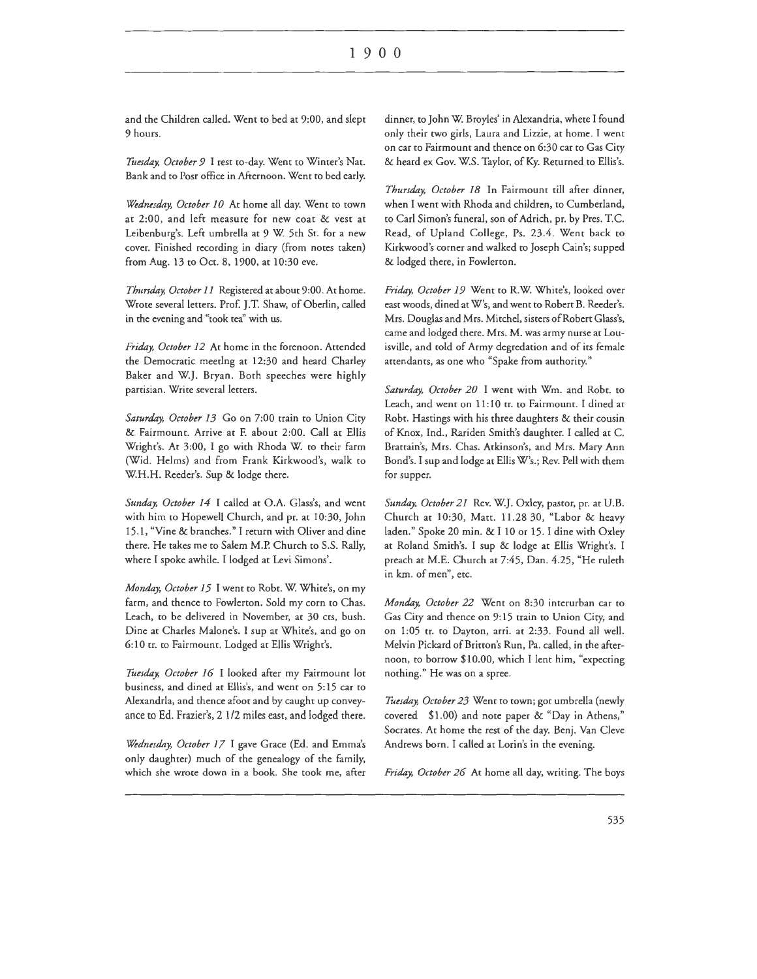and the Children called. Went to bed at 9:00, and slept 9 hours.

Tuesday, October 9 I rest to-day. Went to Winter's Nat. Bank and co Pose office in Afternoon. Went co bed early.

*Wednesday, October 10* Ar home all day. Went co town at 2:00, and left measure for new coar & vesr at Leibenburg's. Left umbrella at 9 W. 5th St. for a new cover. Finished recording in diary (from notes taken) from Aug. 13 to Oct. 8, 1900, at 10:30 eve.

*Thursday, October 11* Registered at about 9:00. At home. Wrote several letters. Prof. J.T. Shaw, of Oberlin, called in the evening and "rook tea'' with us.

*Friday, October 12* At home in the forenoon. Attended the Democratic meerlng at 12:30 and heard Charley Baker and W.J. Bryan. Both speeches were highly partisian. Write several letters.

Saturday, October 13 Go on 7:00 train to Union City & Fairmount. Arrive at F. about 2:00. Call at Ellis Wright's. At 3:00, I go with Rhoda W. to their farm (Wid. Helms) and from Frank Kirkwood's, walk to W.H.H. Reeder's. Sup & lodge there.

*Sunday, October 14* I called at O.A. Glass's, and went with him to Hopewell Church, and pr. at 10:30, John 15.1, "Vine & branches." I return with Oliver and dine there. He takes me to Salem M.P. Church co S.S. Rally, where I spoke awhile. I lodged at Levi Simons'.

*Monday, October 15* I went to Robt. W. White's, on my farm, and thence to Fowlerton. Sold my corn to Chas. Leach, co be delivered in November, at 30 cts, bush. Dine at Charles Malone's. I sup at White's, and go on 6: 10 tr. to Fairmount. Lodged at Ellis Wright's.

*Tuesday, October 16* I looked afrer my Fairmount lot business, and dined at Eilis's, and went on 5:15 car to Alexandria, and thence afoot and by caught up conveyance to Ed. Frazier's, 2 1/2 miles east, and lodged there.

*Wednesday, October 17* I gave Grace (Ed. and Emma's only daughter) much of the genealogy of the family, which she wrote down in a book. She took me, after

dinner, to John W. Broyles' in Alexandria, whete I found only their two girls, Laura and Lizzie, ac home. I went on car to Fairmount and thence on 6:30 car to Gas City & heard ex Gov. WS. Taylor, of Ky. Returned to Eilis's.

*Thursday, October 18* In Fairmount rill afrer dinner, when I went with Rhoda and children, to Cumberland, to Carl Simon's funeral, son of Adrich, pr. by Pres. T.C. Read, of Upland College, Ps. 23.4. Went back to Kirkwood's corner and walked co Joseph Cain's; supped & lodged there, in Fowlerton.

*Friday, October 19* Went to R.W. White's, looked over east woods, dined at W's, and went to Robert B. Reeder's. Mrs. Douglas and Mrs. Mitchel, sisters of Robert Glass's, came and lodged there. Mrs. M. was army nurse at Louisville, and told of Army degredation and of its female attendants, as one who "Spake from authority."

*Saturday, October 20* I went with Wm. and Robt. to Leach, and went on 11: 10 tr. to Fairmount. I dined at Robt. Hastings with his three daughters & their cousin of Knox, Ind., Rariden Smith's daughter. I called at C. Brattain's, Mrs. Chas. Atkinson's, and Mrs. Mary Ann Bond's. I sup and lodge at Ellis W's.; Rev. Pell with chem for supper.

*Sunday, October 21* Rev. WJ. Oxley, pastor, pr. at U.B. Church at 10:30, Matt. 11.28 30, "Labor & heavy laden." Spoke 20 min. & I 10 or 15. I dine with Oxley at Roland Smith's. I sup & lodge at Ellis Wright's. I preach at M.E. Church at 7:45, Dan. 4.25, "He ruleth in km. of men", etc.

*Monday, October 22* Went on 8:30 interurban car co Gas City and thence on 9:15 train to Union City, and on 1:05 tr. to Dayton, arri. at 2:33. Found all well. Melvin Pickard of Britton's Run, Pa. called, in the afternoon, to borrow \$10.00, which I lent him, "expecting nothing." He was on a spree.

*Tuesday, October 23* Went to town; got umbrella (newly covered \$1.00) and note paper & "Day in Athens," Socrates. At home the rest of the day. Benj. Van Cleve Andrews born. I called at Lorin's in the evening.

*Friday, October 26* At home all day, writing. The boys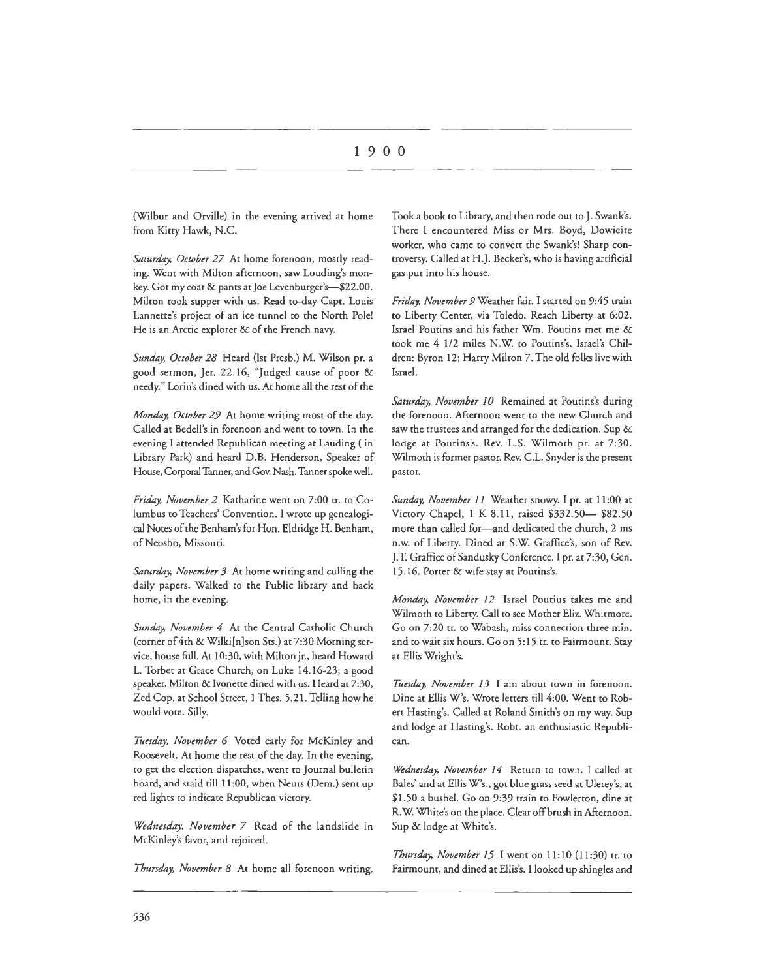(Wilbur and Orville) in the evening arrived at home from Kitty Hawk, N.C.

*Saturday, October 27* At home forenoon, mostly reading. Went with Milton afternoon, saw Louding's monkey. Got my coat & pants at Joe Levenburger's-\$22.00. Milton took supper with us. Read to-day Capt. Louis Lannette's project of an ice tunnel to the North Pole! He is an Arctic explorer & of the French navy.

*Sunday, October 28* Heard (1st Presb.) M. Wilson pr. a good sermon, Jer. 22.16, "Judged cause of poor & needy." Lorin's dined with us. At home all the rest of the

*Monday, October 29* At home writing most of che day. Called at Bedell's in forenoon and went to town. In che evening I attended Republican meeting at Lauding ( in Library Park) and heard D.B. Henderson, Speaker of House, Corporal Tanner, and Gov. Nash. Tanner spoke well.

*Friday, November 2* Katharine went on 7:00 tr. to Columbus to Teachers' Convention. I wrote up genealogical Notes of the Benham's for Hon. Eldridge H. Benham, of Neosho, Missouri.

*Saturday, November 3* Ac home writing and culling che daily papers. Walked to the Public library and back home, in the evening.

*Sunday, November 4* At the Central Catholic Church (corner of 4ch & Wilki[n]son Scs.) ac 7:30 Morning service, house full. At 10:30, with Milton jr., heard Howard L. Torbet at Grace Church, on Luke 14.16-23; a good speaker. Milton & Ivonette dined with us. Heard at 7:30, Zed Cop, at School Street, 1 Thes. 5.21. Telling how he would vote. Silly.

Tuesday, November 6 Voted early for McKinley and Roosevelt. At home the rest of the day. In the evening, to get the election dispatches, went to Journal bulletin board, and staid till 11 :00, when Neurs (Dem.) sent up red lights to indicate Republican victory.

*Wednesday, November 7* Read of the landslide in McKinley's favor, and rejoiced.

*Thursday, November 8* At home all forenoon writing.

Took a book to Library, and then rode out to J. Swank's. There I encountered Miss or Mrs. Boyd, Dowieite worker, who came to convert the Swank's! Sharp controversy. Called at H.J. Becker's, who is having artificial gas put into his house.

*Friday, November 9* Weather fair. I started on 9:45 train to Liberty Center, via Toledo. Reach Liberty at 6:02. Israel Poutins and his father Wm. Poutins met me & took me 4 1/2 miles N.W. to Poutins's. Israel's Children: Byron 12; Harry Milton 7. The old folks live with Israel.

*Saturday, November 10* Remained at Poutins's during the forenoon. Afternoon went to the new Church and saw the trustees and arranged for the dedication. Sup & lodge at Poutins's. Rev. L.S. Wilmoth pr. at 7:30. Wilmoth is former pastor. Rev. C.L. Snyder is the present pastor.

*Sunday, November 11* Weather snowy. I pr. at 11 :00 at Victory Chapel, 1 K 8.11, raised \$332.50- \$82.50 more than called for-and dedicated the church, 2 ms n.w. of Liberty. Dined at S.W. Graffice's, son of Rev. *]* .T. Graffice of Sandusky Conference. I pr. at 7:30, Gen. 15 .16. Porter & wife stay at Poutins's.

*Monday, November 12* Israel Poutius takes me and Wilmoth to Liberty. Call to see Mother Eliz. Whitmore. Go on 7:20 tr. to Wabash, miss connection three min. and to wait six hours. Go on 5: 15 tr. to Fairmount. Stay at Ellis Wright's.

Tuesday, November 13 I am about town in forenoon. Dine at Ellis W's. Wrote letters till 4:00. Went to Robert Hasting's. Called at Roland Smith's on my way. Sup and lodge at Hasting's. Robt. an enthusiastic Republican.

*Wednesday, November 14* Return to town. I called at Bales' and at Ellis W's., goc blue grass seed at Ulerey's, at \$1.50 a bushel. Go on 9:39 train to Fowlerton, dine at R. W. White's on the place. Clear off brush in Afternoon. Sup & lodge at White's.

*Thursday, November 15* I went on 11:10 (11:30) tr. to Fairmount, and dined at Eilis's. I looked up shingles and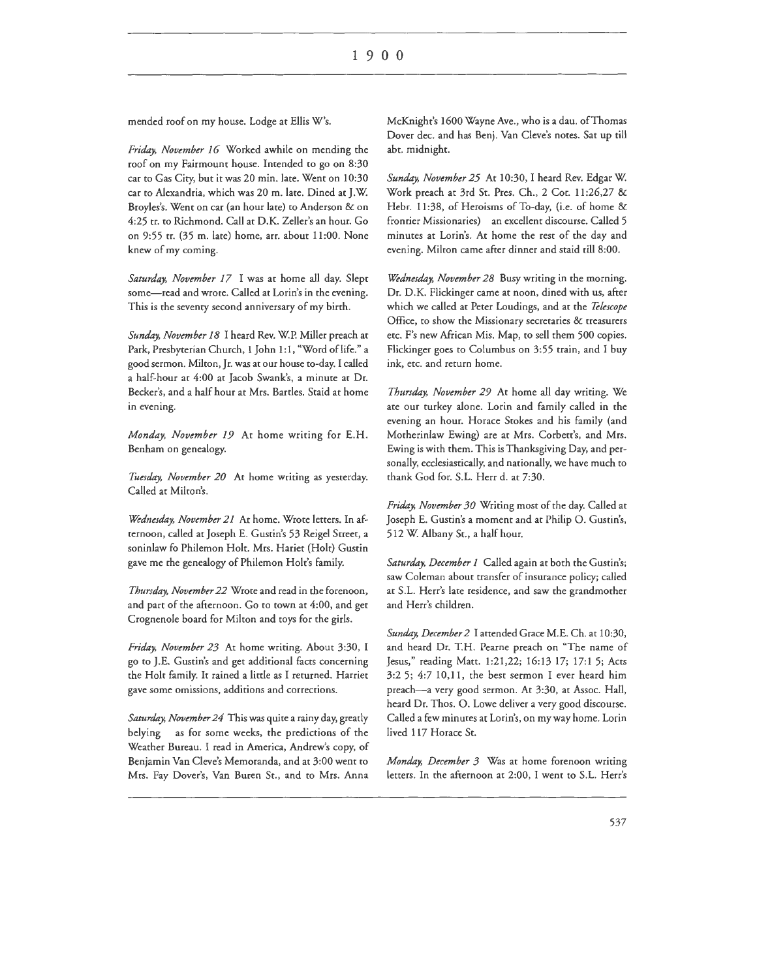mended roof on my house. Lodge at Ellis W's.

*Friday, November 16* Worked awhile on mending the roof on my Fairmount house. Intended to go on 8:30 car to Gas City, but it was 20 min. late. Went on 10:30 car to Alexandria, which was 20 m. late. Dined at J.W. Broyles's. Went on car (an hour late) to Anderson & on 4:25 tr. to Richmond. Call at D.K. Zeller's an hour. Go on 9:55 tr. (35 m. late) home, arr. about 11:00. None knew of my coming.

*Saturday, November 17* I was at home all day. Slept some-read and wrote. Called at Lorin's in the evening. This is the seventy second anniversary of my birth.

*Sunday, November 18* I heard Rev. W.P. Miller preach at Park, Presbyterian Church, 1 John 1:1, "Word of life." a good sermon. Milton, Jr. was at our house to-day. I called a half-hour at 4:00 at Jacob Swank's, a minute at Dr. Becker's, and a half hour at Mrs. Bartles. Staid at home in evening.

*Monday, November 19* At home writing for E.H. Benham on genealogy.

*Tuesday, November 20* At home writing as yesterday. Called at Milton's.

*Wednesday, November 21* At home. Wrote letters. In afternoon, called at Joseph E. Gustin's 53 Reigel Street, a soninlaw fo Philemon Holt. Mrs. Hariet (Holt) Gustin gave me the genealogy of Philemon Holt's family.

*Thursday, November 22* Wrote and read in the forenoon, and part of the afternoon. Go to town at 4:00, and get Crognenole board for Milton and toys for the girls.

*Friday, November 23* At home writing. About 3:30, I go to J.E. Gustin's and get additional facts concerning the Holt family. It rained a little as I returned. Harriet gave some omissions, additions and corrections.

*Saturday, November 24* This was quite a rainy day, greatly belying as for some weeks, the predictions of the Weather Bureau. I read in America, Andrew's copy, of Benjamin Van Cleve's Memoranda, and at 3:00 went to Mrs. Fay Dover's, Van Buren St., and ro Mrs. Anna

McKnight's 1600 Wayne Ave., who is a dau. ofThomas Dover dee. and has Benj. Van Cleve's notes. Sat up till abt. midnight.

*Sunday, November 25* At 10:30, I heard Rev. Edgar W. Work preach at 3rd St. Pres. Ch., 2 Cor. 11 :26,27 & Hebr. 11:38, of Heroisms of To-day, (i.e. of home & frontier Missionaries) an excellent discourse. Called 5 minutes at Lorin's. At home the rest of the day and evening. Milton came after dinner and staid till 8:00.

*Wednesday, November 28* Busy writing in the morning. Dr. D.K. Flickinger came at noon, dined with us, after which we called at Peter Loudings, and at the *Tekscope*  Office, to show the Missionary secretaries & treasurers etc. F's new African Mis. Map, to sell them 500 copies. Flickinger goes to Columbus on 3:55 train, and I buy ink, etc. and return home.

*Thursday, November 29* At home all day writing. We ate our turkey alone. Lorin and family called in the evening an hour. Horace Stokes and his family (and Motherinlaw Ewing) are at Mrs. Corbett's, and Mrs. Ewing is with them. This is Thanksgiving Day, and personally, ecclesiastically, and nationally, we have much to thank God for. S.L. Herr d. at 7:30.

*Friday, November 30* Writing most of the day. Called at Joseph E. Gustin's a moment and at Philip 0. Gustin's, 512 W. Albany St., a half hour.

*Saturday, December 1* Called again at both the Gustin's; saw Coleman about transfer of insurance policy; called at S.L. Herr's late residence, and saw the grandmother and Herr's children.

*Sunday, December 2* I attended Grace M.E. Ch. at 10:30, and heard Dr. T.H. Pearne preach on "The name of Jesus," reading Matt. 1:21,22; 16:13 17; 17:1 5; Acts 3:2 5; 4:7 10,11, the best sermon I ever heard him preach-a very good sermon. At 3:30, at Assoc. Hall, heard Dr. Thos. 0. Lowe deliver a very good discourse. Called a few minutes at Lorin's, on my way home. Lorin lived 117 Horace St.

*Monday, December 3* Was at home forenoon writing letters. In the afternoon at 2:00, I went to S.L. Herr's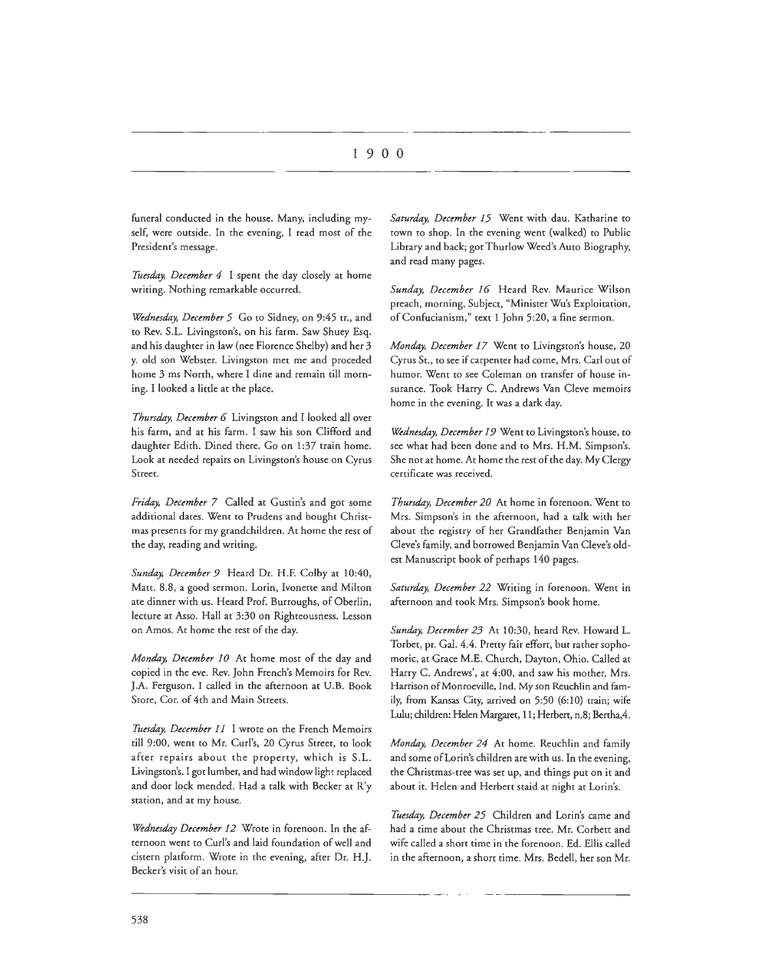funeral conducted in the house. Many, including myself, were outside. In the evening, I read most of the President's message.

*'Tuesday, December 4* I spent the day closely at home writing. Nothing remarkable occurred.

*Wednesday, December 5* Go to Sidney, on 9:45 tr., and to Rev. S.L. Livingston's, on his farm. Saw Shuey Esq. and his daughter in law (nee Florence Shelby) and her 3 y. old son Webster. Livingston met me and proceded home 3 ms North, where I dine and remain till morning. I looked a little at the place.

*Thursday, December 6* Livingston and I looked all over his farm, and at his farm. I saw his son Clifford and daughter Edith. Dined there. Go on 1:37 train home. Look at needed repairs on Livingston's house on Cyrus Street.

*Friday, December 7* Called at Gustin's and got some additional dates. Went to Prudens and bought Christmas presents for my grandchildren. At home the rest of the day, reading and writing.

*Sunday, December 9* Heard Dr. H.F. Colby at 10:40, Matt. 8.8, a good sermon. Lorin, lvonette and Milcon ate dinner with us. Heard Prof. Burroughs, of Oberlin, lecture at Asso. Hall at 3:30 on Righteousness. Lesson on Amos. At home the rest of the day.

*Monday, December 10* At home most of the day and copied in the eve. Rev. John French's Memoirs for Rev. J.A. Ferguson. I called in the afternoon at U.B. Book Store, Cor. of 4th and Main Streets.

*Ttiesday, December 11* I wrote on the French Memoirs till 9:00, went to Mr. Curl's, 20 Cyrus Street, to look after repairs about the property, which is S.L. Livingston's. I got lumber, and had window light replaced and door lock mended. Had a talk with Becker at R'y station, and at my house.

*Wednesday December 12* Wrote in forenoon. In the afternoon went to Curl's and laid foundation of well and cistern platform. Wrote in the evening, after Dr. H.J. Becker's visit of an hour.

*Saturday, December 15* Went with dau. Katharine to town to shop. In the evening went (walked) to Public Library and back; got Thurlow Weed's Auto Biography, and read many pages.

*Sunday, December 16* Heard Rev. Maurice Wilson preach, morning, Subject, "Minister Wu's Exploitation, of Confucianism," text 1 John 5:20, a fine sermon.

*Monday, December 17* Went to Livingston's house, 20 Cyrus St., to see if carpenter had come, Mrs. Carl out of humor. Went to see Coleman on transfer of house insurance. Took Harry C. Andrews Van Cleve memoirs home in the evening. It was a dark day.

*Wednesday, December 19* Went to Livingston's house, to see what had been done and to Mrs. H.M. Simpson's. She not at home. At home the rest of the day. My Clergy certificate was received.

*Thursday, December 20* At home in forenoon. Went to Mrs. Simpson's in the afternoon, had a talk with her about the registry of her Grandfather Benjamin Van Cleve's family, and borrowed Benjamin Van Cleve's oldest Manuscript book of perhaps 140 pages.

*Saturday, December 22* Writing in forenoon. Went in afternoon and cook Mrs. Simpson's book home.

*Sunday, December 23* At 10:30, heard Rev. Howard L. Torbet, pr. Gal. 4.4. Pretty fair effort, but rather sophomoric, at Grace M.E. Church, Dayton, Ohio. Called at Harry C. Andrews', at 4:00, and saw his mother, Mrs. Harrison of Monroeville, Ind. My son Reuchlin and family, from Kansas City, arrived on 5:50 (6:10) train; wife Lulu; children: Helen Margaret, 11; Herbert, n.8; Bertha,4.

*Monday, December 24* At home. Reuchlin and family and some of Lorin's children are with us. In the evening, the Christmas-tree was set up, and things put on it and about it. Helen and Herbert staid at night at Lorin's.

*Tuesday, December 25* Children and Lorin's came and had a time about the Christmas tree. Mr. Corbett and wife called a short time in the forenoon. Ed. Ellis called in the afternoon, a short time. Mrs. Bedell, her son Mr.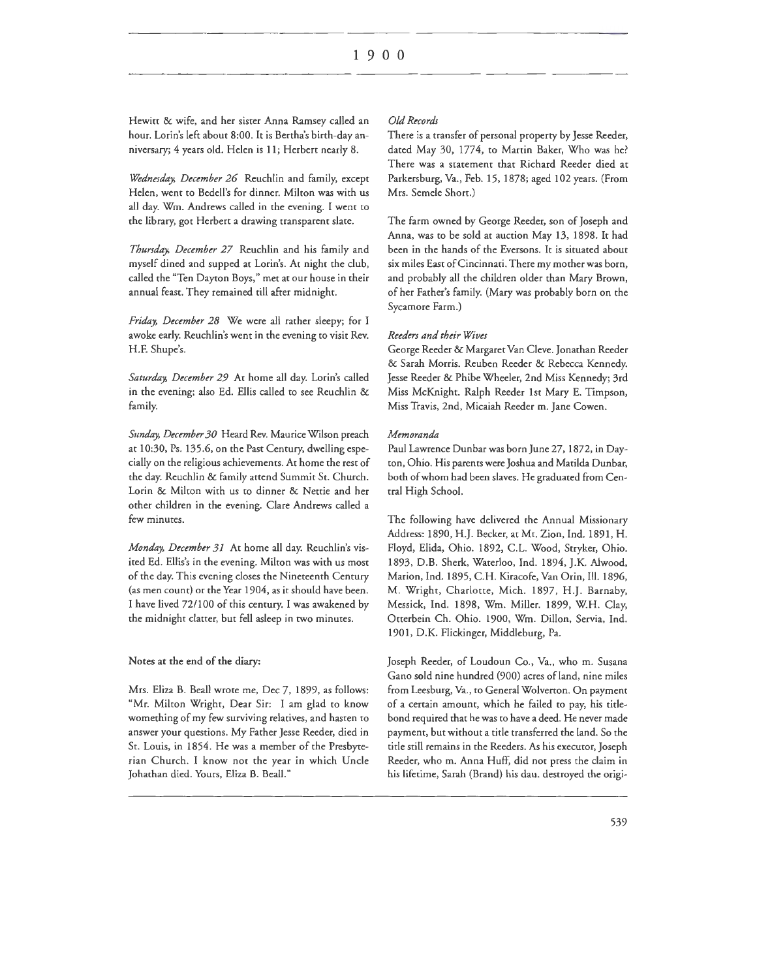Hewitt & wife, and her sister Anna Ramsey called an hour. Lorin's left about 8:00. It is Bertha's birth-day anniversary; 4 years old. Helen is 11; Herbert nearly 8.

*Wednesday, December 26* Reuchlin and family, except Helen, went to Bedell's for dinner. Milton was with us all day. Wm. Andrews called in the evening. I went to the library, got Herbert a drawing transparent slate.

Thursday, December 27 Reuchlin and his family and myself dined and supped at Lorin's. At night the club, called the "Ten Dayton Boys," met at our house in their annual feast. They remained till after midnight.

*Friday, December 28* We were all rather sleepy; for I awoke early. Reuchlin's went in the evening to visit Rev. H.F. Shupe's.

Saturday, December 29 At home all day. Lorin's called in rhe evening; also Ed. Ellis called to see Reuchlin & family.

*Sttnday, December 30* Heard Rev. Maurice Wilson preach ar 10:30, Ps. 135.6, on rhe Past Century, dwelling especially on the religious achievements. At home the rest of rhe day. Reuchlin & family attend Summit St. Church. Lorin & Milton with us to dinner & Nettie and her other children in the evening. Clare Andrews called a few minutes.

*Monday, December 31* At home all day. Reuchlin's visited Ed. Eilis's in the evening. Milton was with us most of the day. This evening closes the Nineteenth Century (as men count) or the Year 1904, as it should have been. I have lived 72/100 of this century. I was awakened by the midnight clatter, but fell asleep in two minutes.

#### Notes at the end of the diary:

Mrs. Eliza B. Beall wrote me, Dec 7, 1899, as follows: "Mr. Milton Wright, Dear Sir: I am glad to know womething of my few surviving relatives, and hasten to answer your questions. My Father Jesse Reeder, died in St. Louis, in 1854. He was a member of the Presbyterian Church. I know not the year in which Uncle Johathan died. Yours, Eliza B. Beall."

#### *Old Records*

There is a transfer of personal property by Jesse Reeder, dated May 30, 1774, to Martin Baker, Who was he? There was a statement that Richard Reeder died at Parkersburg, Va., Feb. 15, 1878; aged 102 years. (From Mrs. Semele Short.)

The farm owned by George Reeder, son of Joseph and Anna, was to be sold ar auction May 13, 1898. It had been in the hands of the Eversons. It is situated about six miles East of Cincinnati. There my mother was born, and probably all the children older than Mary Brown, of her Father's family. (Mary was probably born on the Sycamore Farm.)

#### *Reeders and their Wives*

George Reeder & Margaret Van Cleve. Jonathan Reeder & Sarah Morris. Reuben Reeder & Rebecca Kennedy. Jesse Reeder & Phibe Wheeler, 2nd Miss Kennedy; 3rd Miss McKnight. Ralph Reeder 1st Mary E. Timpson, Miss Travis, 2nd, Micaiah Reeder m. Jane Cowen.

#### *Memoranda*

Paul Lawrence Dunbar was born June 27, 1872, in Dayton, Ohio. His parents were Joshua and Matilda Dunbar, both of whom had been slaves. He graduated from Central High School.

The following have delivered the Annual Missionary Address: 1890, H.J. Becker, at Mt. Zion, Ind. 1891, H. Floyd, Elida, Ohio. 1892, C.L. Wood, Stryker, Ohio. 1893, D.B. Sherk, Waterloo, Ind. 1894, J.K. Alwood, Marion, Ind. 1895, C.H. Kiracofe, Van Orin, Ill. 1896, M. Wright, Charlotte, Mich. 1897, H .J. Barnaby, Messick, Ind. 1898, Wm. Miller. 1899, W.H. Clay, Otterbein Ch. Ohio. 1900, Wm. Dillon, Servia, Ind. 1901, D.K. Flickinger, Middleburg, Pa.

Joseph Reeder, of Loudoun Co., Va., who m. Susana Gano sold nine hundred (900) acres of land, nine miles from Leesburg, Va., to General Wolverton. On payment of a certain amount, which he failed to pay, his tidebond required that he was to have a deed. He never made payment, but without a tide transferred the land. So the tide still remains in the Reeders. As his executor, Joseph Reeder, who m. Anna Huff, did nor press the claim in his lifetime, Sarah (Brand) his dau. destroyed the origi